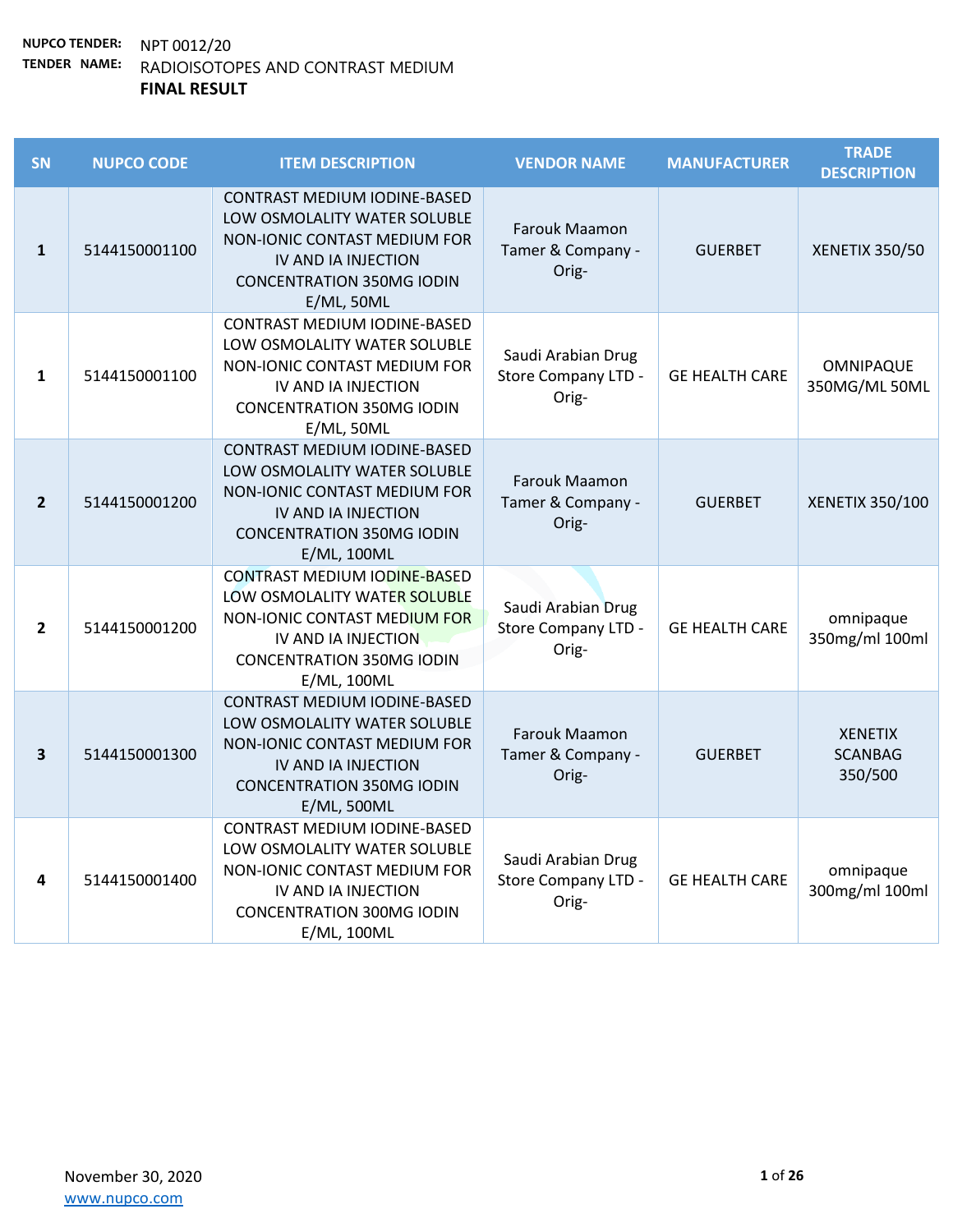| SN             | <b>NUPCO CODE</b> | <b>ITEM DESCRIPTION</b>                                                                                                                                                         | <b>VENDOR NAME</b>                                 | <b>MANUFACTURER</b>   | <b>TRADE</b><br><b>DESCRIPTION</b>          |
|----------------|-------------------|---------------------------------------------------------------------------------------------------------------------------------------------------------------------------------|----------------------------------------------------|-----------------------|---------------------------------------------|
| $\mathbf{1}$   | 5144150001100     | <b>CONTRAST MEDIUM IODINE-BASED</b><br>LOW OSMOLALITY WATER SOLUBLE<br>NON-IONIC CONTAST MEDIUM FOR<br>IV AND IA INJECTION<br><b>CONCENTRATION 350MG IODIN</b><br>$E/ML$ , 50ML | Farouk Maamon<br>Tamer & Company -<br>Orig-        | <b>GUERBET</b>        | <b>XENETIX 350/50</b>                       |
| $\mathbf{1}$   | 5144150001100     | CONTRAST MEDIUM IODINE-BASED<br>LOW OSMOLALITY WATER SOLUBLE<br>NON-IONIC CONTAST MEDIUM FOR<br>IV AND IA INJECTION<br><b>CONCENTRATION 350MG IODIN</b><br>$E/ML$ , 50ML        | Saudi Arabian Drug<br>Store Company LTD -<br>Orig- | <b>GE HEALTH CARE</b> | OMNIPAQUE<br>350MG/ML50ML                   |
| $\overline{2}$ | 5144150001200     | CONTRAST MEDIUM IODINE-BASED<br>LOW OSMOLALITY WATER SOLUBLE<br>NON-IONIC CONTAST MEDIUM FOR<br>IV AND IA INJECTION<br><b>CONCENTRATION 350MG IODIN</b><br>E/ML, 100ML          | Farouk Maamon<br>Tamer & Company -<br>Orig-        | <b>GUERBET</b>        | XENETIX 350/100                             |
| $\mathbf{2}$   | 5144150001200     | <b>CONTRAST MEDIUM IODINE-BASED</b><br>LOW OSMOLALITY WATER SOLUBLE<br>NON-IONIC CONTAST MEDIUM FOR<br>IV AND IA INJECTION<br><b>CONCENTRATION 350MG IODIN</b><br>E/ML, 100ML   | Saudi Arabian Drug<br>Store Company LTD -<br>Orig- | <b>GE HEALTH CARE</b> | omnipaque<br>350mg/ml 100ml                 |
| 3              | 5144150001300     | CONTRAST MEDIUM IODINE-BASED<br>LOW OSMOLALITY WATER SOLUBLE<br>NON-IONIC CONTAST MEDIUM FOR<br>IV AND IA INJECTION<br><b>CONCENTRATION 350MG IODIN</b><br>E/ML, 500ML          | Farouk Maamon<br>Tamer & Company -<br>Orig-        | <b>GUERBET</b>        | <b>XENETIX</b><br><b>SCANBAG</b><br>350/500 |
| 4              | 5144150001400     | CONTRAST MEDIUM IODINE-BASED<br>LOW OSMOLALITY WATER SOLUBLE<br>NON-IONIC CONTAST MEDIUM FOR<br>IV AND IA INJECTION<br><b>CONCENTRATION 300MG IODIN</b><br>E/ML, 100ML          | Saudi Arabian Drug<br>Store Company LTD -<br>Orig- | <b>GE HEALTH CARE</b> | omnipaque<br>300mg/ml 100ml                 |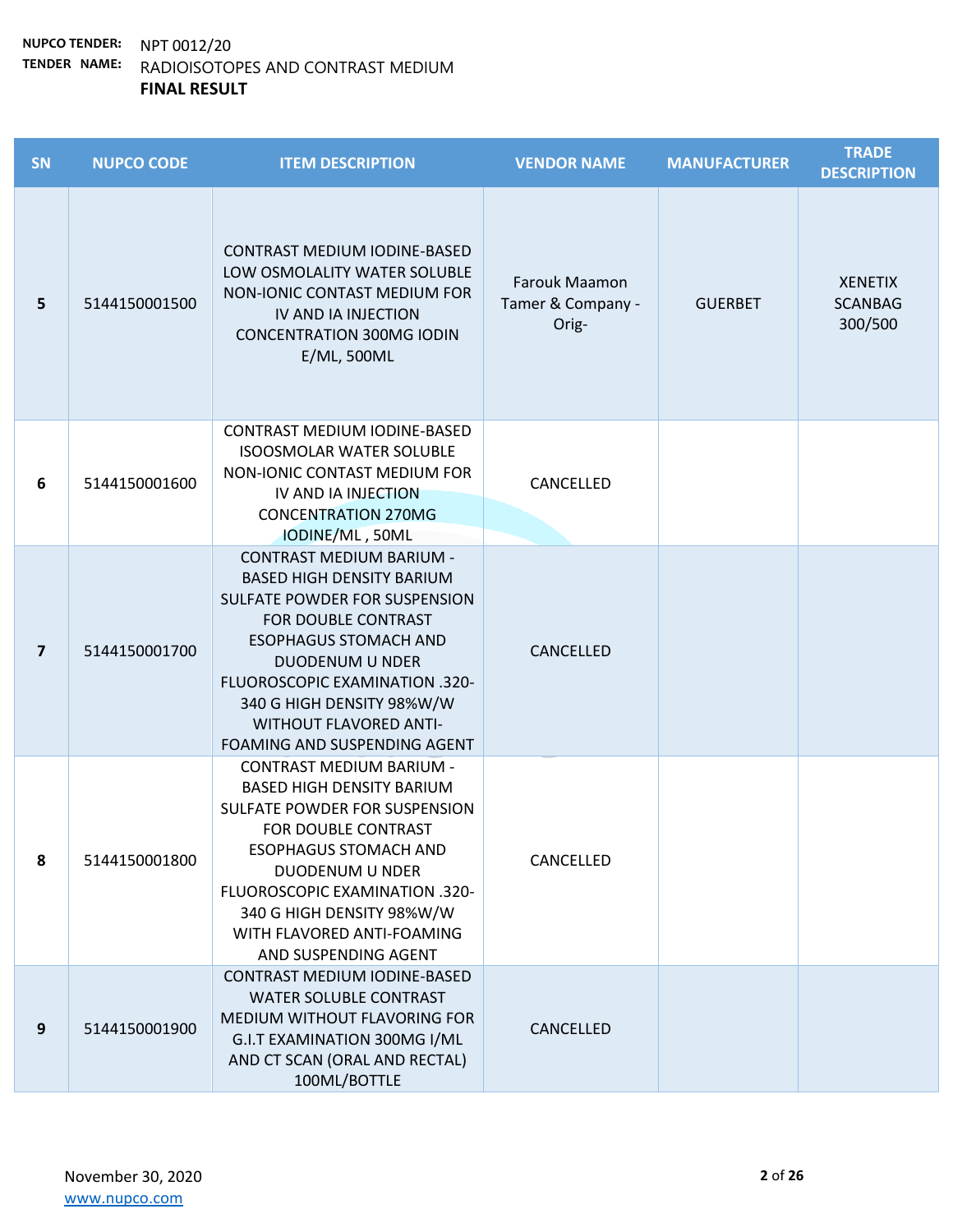| SN                      | <b>NUPCO CODE</b> | <b>ITEM DESCRIPTION</b>                                                                                                                                                                                                                                                                                               | <b>VENDOR NAME</b>                          | <b>MANUFACTURER</b> | <b>TRADE</b><br><b>DESCRIPTION</b>          |
|-------------------------|-------------------|-----------------------------------------------------------------------------------------------------------------------------------------------------------------------------------------------------------------------------------------------------------------------------------------------------------------------|---------------------------------------------|---------------------|---------------------------------------------|
| 5                       | 5144150001500     | <b>CONTRAST MEDIUM IODINE-BASED</b><br>LOW OSMOLALITY WATER SOLUBLE<br>NON-IONIC CONTAST MEDIUM FOR<br>IV AND IA INJECTION<br><b>CONCENTRATION 300MG IODIN</b><br>E/ML, 500ML                                                                                                                                         | Farouk Maamon<br>Tamer & Company -<br>Orig- | <b>GUERBET</b>      | <b>XENETIX</b><br><b>SCANBAG</b><br>300/500 |
| 6                       | 5144150001600     | CONTRAST MEDIUM IODINE-BASED<br><b>ISOOSMOLAR WATER SOLUBLE</b><br>NON-IONIC CONTAST MEDIUM FOR<br>IV AND IA INJECTION<br><b>CONCENTRATION 270MG</b><br>IODINE/ML, 50ML                                                                                                                                               | CANCELLED                                   |                     |                                             |
| $\overline{\mathbf{z}}$ | 5144150001700     | <b>CONTRAST MEDIUM BARIUM -</b><br><b>BASED HIGH DENSITY BARIUM</b><br>SULFATE POWDER FOR SUSPENSION<br>FOR DOUBLE CONTRAST<br><b>ESOPHAGUS STOMACH AND</b><br><b>DUODENUM U NDER</b><br>FLUOROSCOPIC EXAMINATION .320-<br>340 G HIGH DENSITY 98%W/W<br><b>WITHOUT FLAVORED ANTI-</b><br>FOAMING AND SUSPENDING AGENT | CANCELLED                                   |                     |                                             |
| 8                       | 5144150001800     | <b>CONTRAST MEDIUM BARIUM -</b><br><b>BASED HIGH DENSITY BARIUM</b><br>SULFATE POWDER FOR SUSPENSION<br>FOR DOUBLE CONTRAST<br><b>ESOPHAGUS STOMACH AND</b><br>DUODENUM U NDER<br>FLUOROSCOPIC EXAMINATION .320-<br>340 G HIGH DENSITY 98%W/W<br>WITH FLAVORED ANTI-FOAMING<br>AND SUSPENDING AGENT                   | CANCELLED                                   |                     |                                             |
| 9                       | 5144150001900     | <b>CONTRAST MEDIUM IODINE-BASED</b><br><b>WATER SOLUBLE CONTRAST</b><br>MEDIUM WITHOUT FLAVORING FOR<br>G.I.T EXAMINATION 300MG I/ML<br>AND CT SCAN (ORAL AND RECTAL)<br>100ML/BOTTLE                                                                                                                                 | CANCELLED                                   |                     |                                             |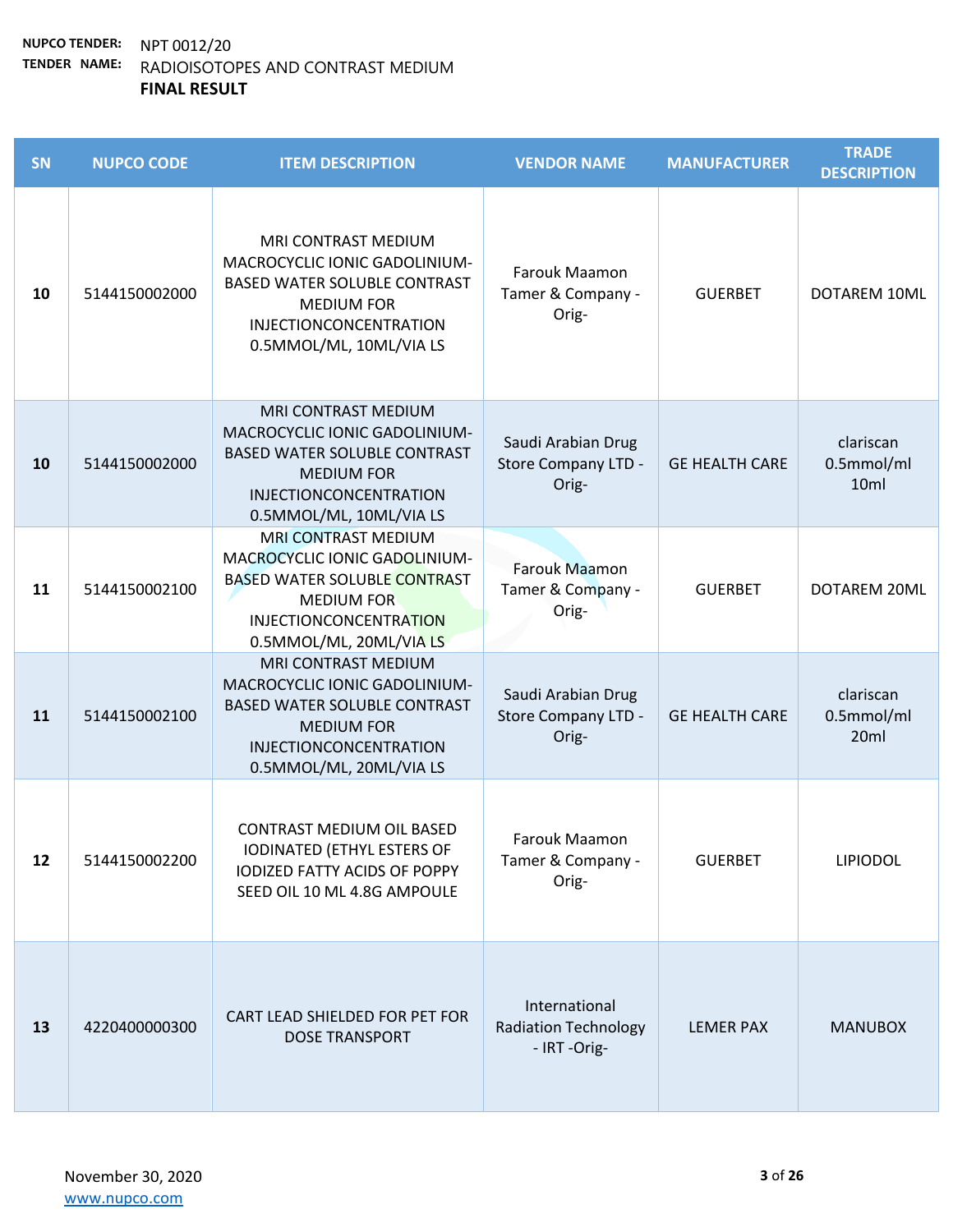| SN | <b>NUPCO CODE</b> | <b>ITEM DESCRIPTION</b>                                                                                                                                                             | <b>VENDOR NAME</b>                                           | <b>MANUFACTURER</b>   | <b>TRADE</b><br><b>DESCRIPTION</b> |
|----|-------------------|-------------------------------------------------------------------------------------------------------------------------------------------------------------------------------------|--------------------------------------------------------------|-----------------------|------------------------------------|
| 10 | 5144150002000     | MRI CONTRAST MEDIUM<br>MACROCYCLIC IONIC GADOLINIUM-<br><b>BASED WATER SOLUBLE CONTRAST</b><br><b>MEDIUM FOR</b><br><b>INJECTIONCONCENTRATION</b><br>0.5MMOL/ML, 10ML/VIA LS        | Farouk Maamon<br>Tamer & Company -<br>Orig-                  | <b>GUERBET</b>        | DOTAREM 10ML                       |
| 10 | 5144150002000     | MRI CONTRAST MEDIUM<br>MACROCYCLIC IONIC GADOLINIUM-<br><b>BASED WATER SOLUBLE CONTRAST</b><br><b>MEDIUM FOR</b><br>INJECTIONCONCENTRATION<br>0.5MMOL/ML, 10ML/VIA LS               | Saudi Arabian Drug<br><b>Store Company LTD -</b><br>Orig-    | <b>GE HEALTH CARE</b> | clariscan<br>0.5mmol/ml<br>10ml    |
| 11 | 5144150002100     | <b>MRI CONTRAST MEDIUM</b><br>MACROCYCLIC IONIC GADOLINIUM-<br><b>BASED WATER SOLUBLE CONTRAST</b><br><b>MEDIUM FOR</b><br><b>INJECTIONCONCENTRATION</b><br>0.5MMOL/ML, 20ML/VIA LS | <b>Farouk Maamon</b><br>Tamer & Company -<br>Orig-           | <b>GUERBET</b>        | DOTAREM 20ML                       |
| 11 | 5144150002100     | MRI CONTRAST MEDIUM<br>MACROCYCLIC IONIC GADOLINIUM-<br><b>BASED WATER SOLUBLE CONTRAST</b><br><b>MEDIUM FOR</b><br><b>INJECTIONCONCENTRATION</b><br>0.5MMOL/ML, 20ML/VIA LS        | Saudi Arabian Drug<br><b>Store Company LTD -</b><br>Orig-    | <b>GE HEALTH CARE</b> | clariscan<br>0.5mmol/ml<br>20ml    |
| 12 | 5144150002200     | <b>CONTRAST MEDIUM OIL BASED</b><br>IODINATED (ETHYL ESTERS OF<br><b>IODIZED FATTY ACIDS OF POPPY</b><br>SEED OIL 10 ML 4.8G AMPOULE                                                | Farouk Maamon<br>Tamer & Company -<br>Orig-                  | <b>GUERBET</b>        | <b>LIPIODOL</b>                    |
| 13 | 4220400000300     | CART LEAD SHIELDED FOR PET FOR<br><b>DOSE TRANSPORT</b>                                                                                                                             | International<br><b>Radiation Technology</b><br>- IRT -Orig- | <b>LEMER PAX</b>      | <b>MANUBOX</b>                     |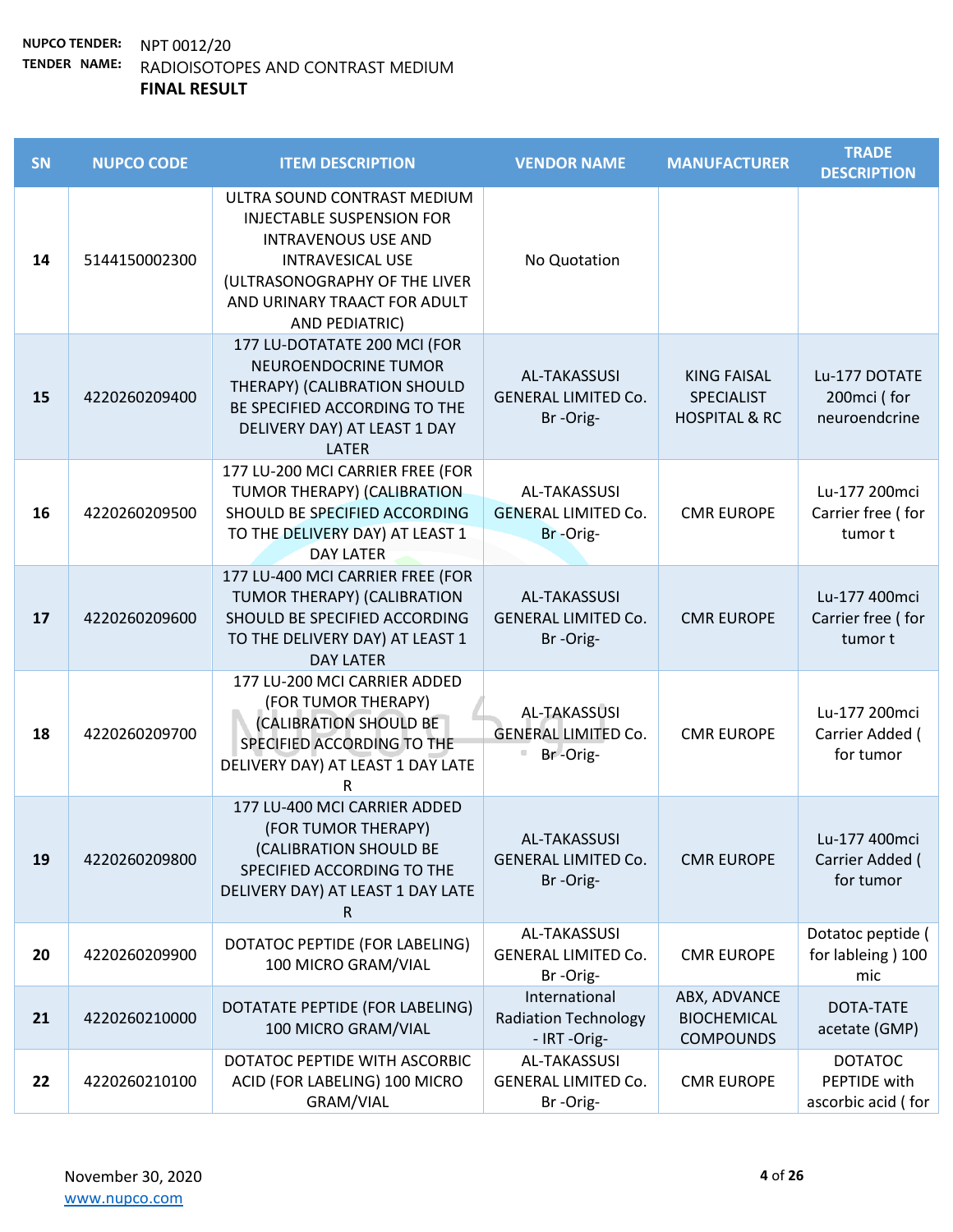| SN | <b>NUPCO CODE</b> | <b>ITEM DESCRIPTION</b>                                                                                                                                                                                     | <b>VENDOR NAME</b>                                            | <b>MANUFACTURER</b>                                                 | <b>TRADE</b><br><b>DESCRIPTION</b>                   |
|----|-------------------|-------------------------------------------------------------------------------------------------------------------------------------------------------------------------------------------------------------|---------------------------------------------------------------|---------------------------------------------------------------------|------------------------------------------------------|
| 14 | 5144150002300     | ULTRA SOUND CONTRAST MEDIUM<br><b>INJECTABLE SUSPENSION FOR</b><br><b>INTRAVENOUS USE AND</b><br><b>INTRAVESICAL USE</b><br>(ULTRASONOGRAPHY OF THE LIVER<br>AND URINARY TRAACT FOR ADULT<br>AND PEDIATRIC) | No Quotation                                                  |                                                                     |                                                      |
| 15 | 4220260209400     | 177 LU-DOTATATE 200 MCI (FOR<br>NEUROENDOCRINE TUMOR<br>THERAPY) (CALIBRATION SHOULD<br>BE SPECIFIED ACCORDING TO THE<br>DELIVERY DAY) AT LEAST 1 DAY<br><b>LATER</b>                                       | AL-TAKASSUSI<br><b>GENERAL LIMITED Co.</b><br>Br-Orig-        | <b>KING FAISAL</b><br><b>SPECIALIST</b><br><b>HOSPITAL &amp; RC</b> | Lu-177 DOTATE<br>200mci (for<br>neuroendcrine        |
| 16 | 4220260209500     | 177 LU-200 MCI CARRIER FREE (FOR<br>TUMOR THERAPY) (CALIBRATION<br>SHOULD BE SPECIFIED ACCORDING<br>TO THE DELIVERY DAY) AT LEAST 1<br><b>DAY LATER</b>                                                     | AL-TAKASSUSI<br><b>GENERAL LIMITED Co.</b><br>Br-Orig-        | <b>CMR EUROPE</b>                                                   | Lu-177 200mci<br>Carrier free (for<br>tumor t        |
| 17 | 4220260209600     | 177 LU-400 MCI CARRIER FREE (FOR<br>TUMOR THERAPY) (CALIBRATION<br>SHOULD BE SPECIFIED ACCORDING<br>TO THE DELIVERY DAY) AT LEAST 1<br><b>DAY LATER</b>                                                     | AL-TAKASSUSI<br><b>GENERAL LIMITED Co.</b><br>Br-Orig-        | <b>CMR EUROPE</b>                                                   | Lu-177 400mci<br>Carrier free (for<br>tumor t        |
| 18 | 4220260209700     | 177 LU-200 MCI CARRIER ADDED<br>(FOR TUMOR THERAPY)<br>(CALIBRATION SHOULD BE<br>SPECIFIED ACCORDING TO THE<br>DELIVERY DAY) AT LEAST 1 DAY LATE<br>R                                                       | <b>AL-TAKASSUSI</b><br><b>GENERAL LIMITED Co.</b><br>Br-Orig- | <b>CMR EUROPE</b>                                                   | Lu-177 200mci<br>Carrier Added (<br>for tumor        |
| 19 | 4220260209800     | 177 LU-400 MCI CARRIER ADDED<br>(FOR TUMOR THERAPY)<br>(CALIBRATION SHOULD BE<br>SPECIFIED ACCORDING TO THE<br>DELIVERY DAY) AT LEAST 1 DAY LATE<br>R.                                                      | <b>AL-TAKASSUSI</b><br><b>GENERAL LIMITED Co.</b><br>Br-Orig- | <b>CMR EUROPE</b>                                                   | Lu-177 400mci<br>Carrier Added (<br>for tumor        |
| 20 | 4220260209900     | DOTATOC PEPTIDE (FOR LABELING)<br>100 MICRO GRAM/VIAL                                                                                                                                                       | AL-TAKASSUSI<br><b>GENERAL LIMITED Co.</b><br>Br-Orig-        | <b>CMR EUROPE</b>                                                   | Dotatoc peptide (<br>for lableing) 100<br>mic        |
| 21 | 4220260210000     | DOTATATE PEPTIDE (FOR LABELING)<br>100 MICRO GRAM/VIAL                                                                                                                                                      | International<br><b>Radiation Technology</b><br>- IRT-Orig-   | ABX, ADVANCE<br><b>BIOCHEMICAL</b><br><b>COMPOUNDS</b>              | DOTA-TATE<br>acetate (GMP)                           |
| 22 | 4220260210100     | DOTATOC PEPTIDE WITH ASCORBIC<br>ACID (FOR LABELING) 100 MICRO<br>GRAM/VIAL                                                                                                                                 | AL-TAKASSUSI<br><b>GENERAL LIMITED Co.</b><br>Br-Orig-        | <b>CMR EUROPE</b>                                                   | <b>DOTATOC</b><br>PEPTIDE with<br>ascorbic acid (for |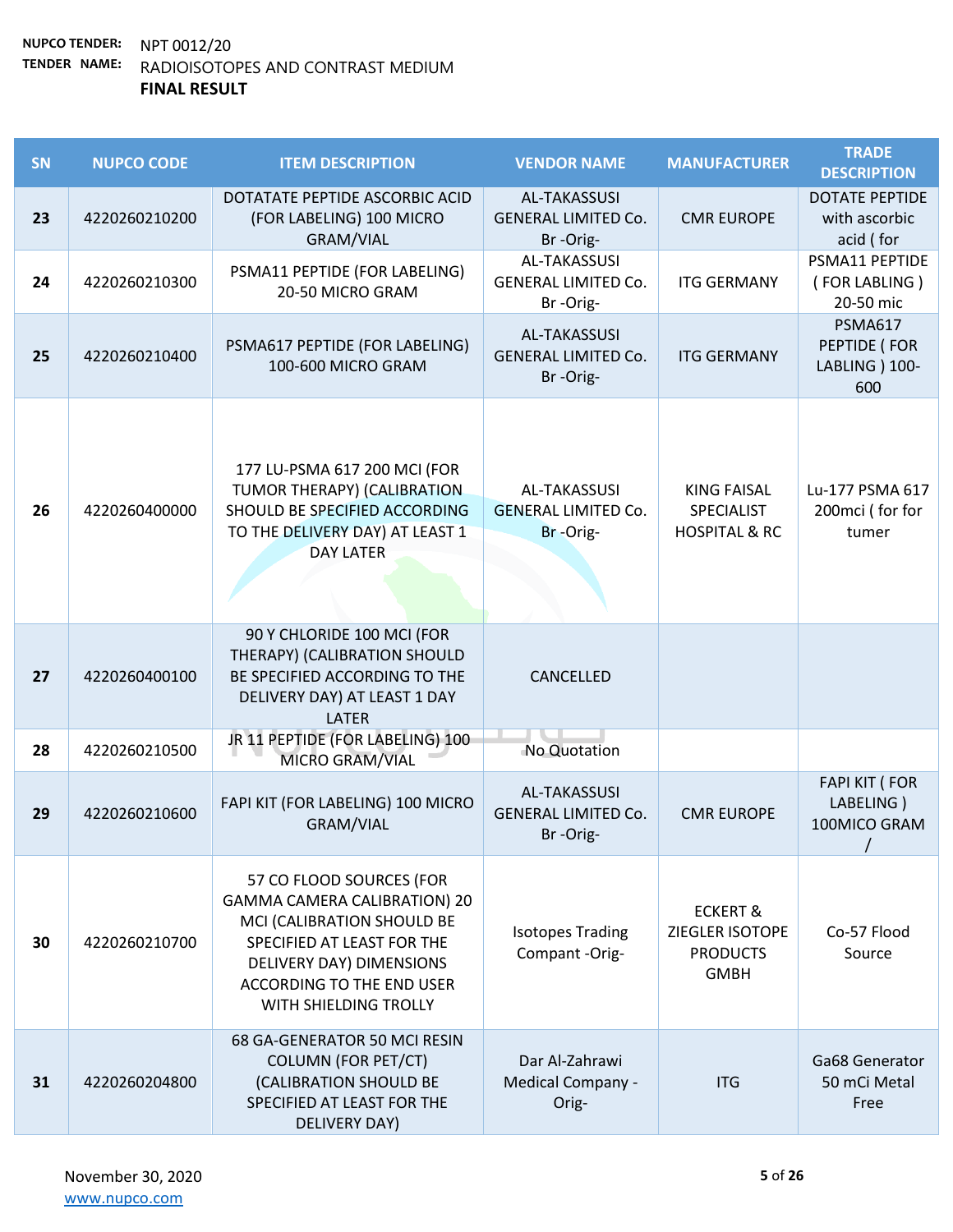| SN | <b>NUPCO CODE</b> | <b>ITEM DESCRIPTION</b>                                                                                                                                                                                              | <b>VENDOR NAME</b>                                     | <b>MANUFACTURER</b>                                                      | <b>TRADE</b><br><b>DESCRIPTION</b>                      |
|----|-------------------|----------------------------------------------------------------------------------------------------------------------------------------------------------------------------------------------------------------------|--------------------------------------------------------|--------------------------------------------------------------------------|---------------------------------------------------------|
| 23 | 4220260210200     | DOTATATE PEPTIDE ASCORBIC ACID<br>(FOR LABELING) 100 MICRO<br><b>GRAM/VIAL</b>                                                                                                                                       | AL-TAKASSUSI<br><b>GENERAL LIMITED Co.</b><br>Br-Orig- | <b>CMR EUROPE</b>                                                        | <b>DOTATE PEPTIDE</b><br>with ascorbic<br>acid (for     |
| 24 | 4220260210300     | PSMA11 PEPTIDE (FOR LABELING)<br>20-50 MICRO GRAM                                                                                                                                                                    | AL-TAKASSUSI<br><b>GENERAL LIMITED Co.</b><br>Br-Orig- | <b>ITG GERMANY</b>                                                       | PSMA11 PEPTIDE<br>(FOR LABLING)<br>20-50 mic            |
| 25 | 4220260210400     | PSMA617 PEPTIDE (FOR LABELING)<br>100-600 MICRO GRAM                                                                                                                                                                 | AL-TAKASSUSI<br><b>GENERAL LIMITED Co.</b><br>Br-Orig- | <b>ITG GERMANY</b>                                                       | <b>PSMA617</b><br>PEPTIDE (FOR<br>LABLING ) 100-<br>600 |
| 26 | 4220260400000     | 177 LU-PSMA 617 200 MCI (FOR<br>TUMOR THERAPY) (CALIBRATION<br>SHOULD BE SPECIFIED ACCORDING<br>TO THE DELIVERY DAY) AT LEAST 1<br><b>DAY LATER</b>                                                                  | AL-TAKASSUSI<br><b>GENERAL LIMITED Co.</b><br>Br-Orig- | <b>KING FAISAL</b><br>SPECIALIST<br><b>HOSPITAL &amp; RC</b>             | Lu-177 PSMA 617<br>200mci (for for<br>tumer             |
| 27 | 4220260400100     | 90 Y CHLORIDE 100 MCI (FOR<br>THERAPY) (CALIBRATION SHOULD<br>BE SPECIFIED ACCORDING TO THE<br>DELIVERY DAY) AT LEAST 1 DAY<br><b>LATER</b>                                                                          | CANCELLED                                              |                                                                          |                                                         |
| 28 | 4220260210500     | JR 11 PEPTIDE (FOR LABELING) 100<br>MICRO GRAM/VIAL                                                                                                                                                                  | No Quotation                                           |                                                                          |                                                         |
| 29 | 4220260210600     | FAPI KIT (FOR LABELING) 100 MICRO<br><b>GRAM/VIAL</b>                                                                                                                                                                | AL-TAKASSUSI<br><b>GENERAL LIMITED Co.</b><br>Br-Orig- | <b>CMR EUROPE</b>                                                        | <b>FAPI KIT (FOR</b><br>LABELING)<br>100MICO GRAM       |
| 30 | 4220260210700     | 57 CO FLOOD SOURCES (FOR<br><b>GAMMA CAMERA CALIBRATION) 20</b><br>MCI (CALIBRATION SHOULD BE<br>SPECIFIED AT LEAST FOR THE<br>DELIVERY DAY) DIMENSIONS<br><b>ACCORDING TO THE END USER</b><br>WITH SHIELDING TROLLY | <b>Isotopes Trading</b><br>Compant -Orig-              | <b>ECKERT &amp;</b><br>ZIEGLER ISOTOPE<br><b>PRODUCTS</b><br><b>GMBH</b> | Co-57 Flood<br>Source                                   |
| 31 | 4220260204800     | 68 GA-GENERATOR 50 MCI RESIN<br><b>COLUMN (FOR PET/CT)</b><br>(CALIBRATION SHOULD BE<br>SPECIFIED AT LEAST FOR THE<br>DELIVERY DAY)                                                                                  | Dar Al-Zahrawi<br>Medical Company -<br>Orig-           | <b>ITG</b>                                                               | Ga68 Generator<br>50 mCi Metal<br>Free                  |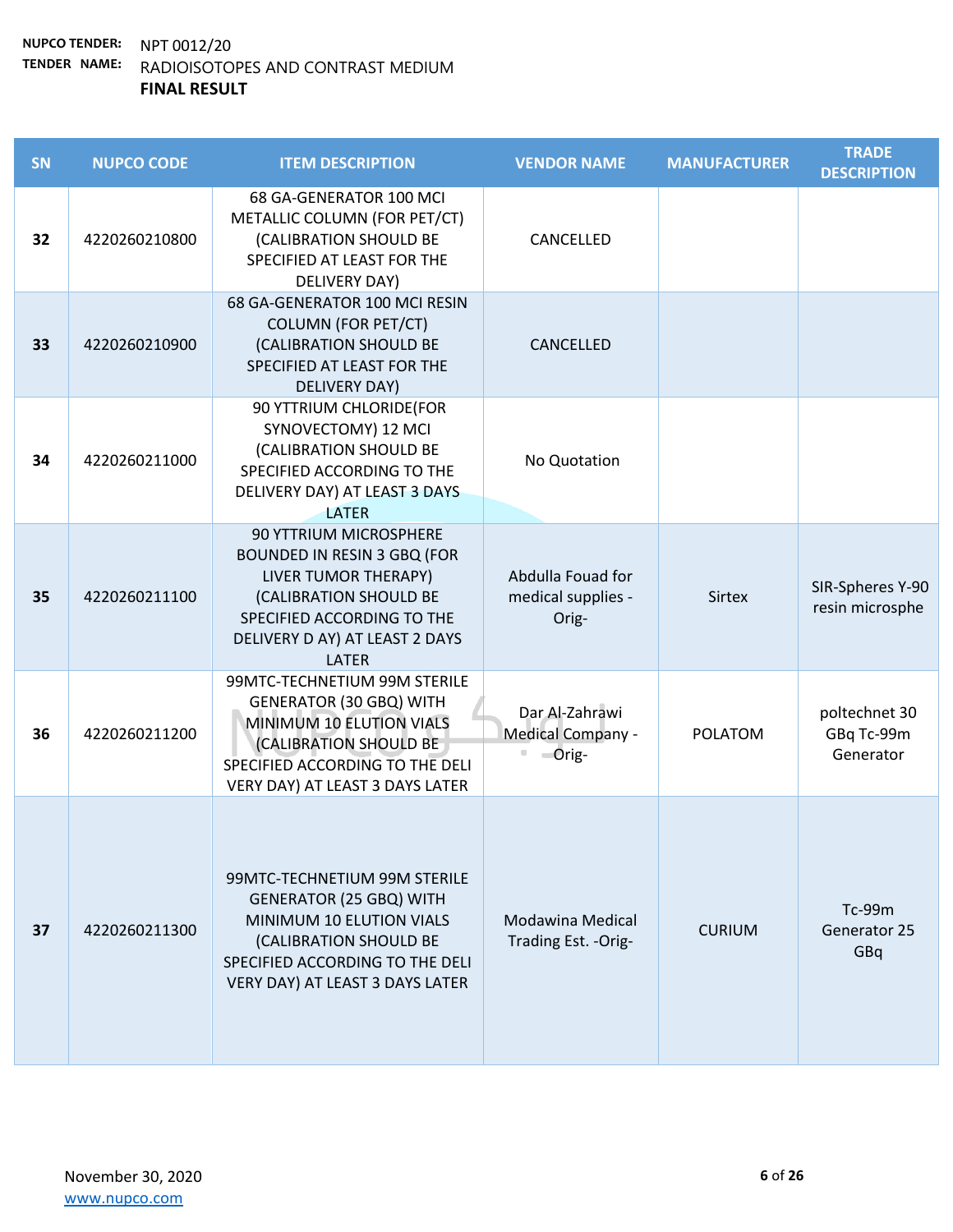| <b>SN</b> | <b>NUPCO CODE</b> | <b>ITEM DESCRIPTION</b>                                                                                                                                                                               | <b>VENDOR NAME</b>                               | <b>MANUFACTURER</b> | <b>TRADE</b><br><b>DESCRIPTION</b>       |
|-----------|-------------------|-------------------------------------------------------------------------------------------------------------------------------------------------------------------------------------------------------|--------------------------------------------------|---------------------|------------------------------------------|
| 32        | 4220260210800     | 68 GA-GENERATOR 100 MCI<br>METALLIC COLUMN (FOR PET/CT)<br>(CALIBRATION SHOULD BE<br>SPECIFIED AT LEAST FOR THE<br>DELIVERY DAY)                                                                      | CANCELLED                                        |                     |                                          |
| 33        | 4220260210900     | 68 GA-GENERATOR 100 MCI RESIN<br><b>COLUMN (FOR PET/CT)</b><br>(CALIBRATION SHOULD BE<br>SPECIFIED AT LEAST FOR THE<br>DELIVERY DAY)                                                                  | CANCELLED                                        |                     |                                          |
| 34        | 4220260211000     | 90 YTTRIUM CHLORIDE(FOR<br>SYNOVECTOMY) 12 MCI<br>(CALIBRATION SHOULD BE<br>SPECIFIED ACCORDING TO THE<br>DELIVERY DAY) AT LEAST 3 DAYS<br><b>LATER</b>                                               | No Quotation                                     |                     |                                          |
| 35        | 4220260211100     | <b>90 YTTRIUM MICROSPHERE</b><br><b>BOUNDED IN RESIN 3 GBQ (FOR</b><br>LIVER TUMOR THERAPY)<br>(CALIBRATION SHOULD BE<br>SPECIFIED ACCORDING TO THE<br>DELIVERY D AY) AT LEAST 2 DAYS<br><b>LATER</b> | Abdulla Fouad for<br>medical supplies -<br>Orig- | <b>Sirtex</b>       | SIR-Spheres Y-90<br>resin microsphe      |
| 36        | 4220260211200     | 99MTC-TECHNETIUM 99M STERILE<br><b>GENERATOR (30 GBQ) WITH</b><br>MINIMUM 10 ELUTION VIALS<br>(CALIBRATION SHOULD BE<br>SPECIFIED ACCORDING TO THE DELI<br>VERY DAY) AT LEAST 3 DAYS LATER            | Dar Al-Zahrawi<br>Medical Company -<br>$O$ rig-  | <b>POLATOM</b>      | poltechnet 30<br>GBq Tc-99m<br>Generator |
| 37        | 4220260211300     | 99MTC-TECHNETIUM 99M STERILE<br><b>GENERATOR (25 GBQ) WITH</b><br>MINIMUM 10 ELUTION VIALS<br>(CALIBRATION SHOULD BE<br>SPECIFIED ACCORDING TO THE DELI<br>VERY DAY) AT LEAST 3 DAYS LATER            | Modawina Medical<br>Trading Est. - Orig-         | <b>CURIUM</b>       | Tc-99m<br>Generator 25<br>GBq            |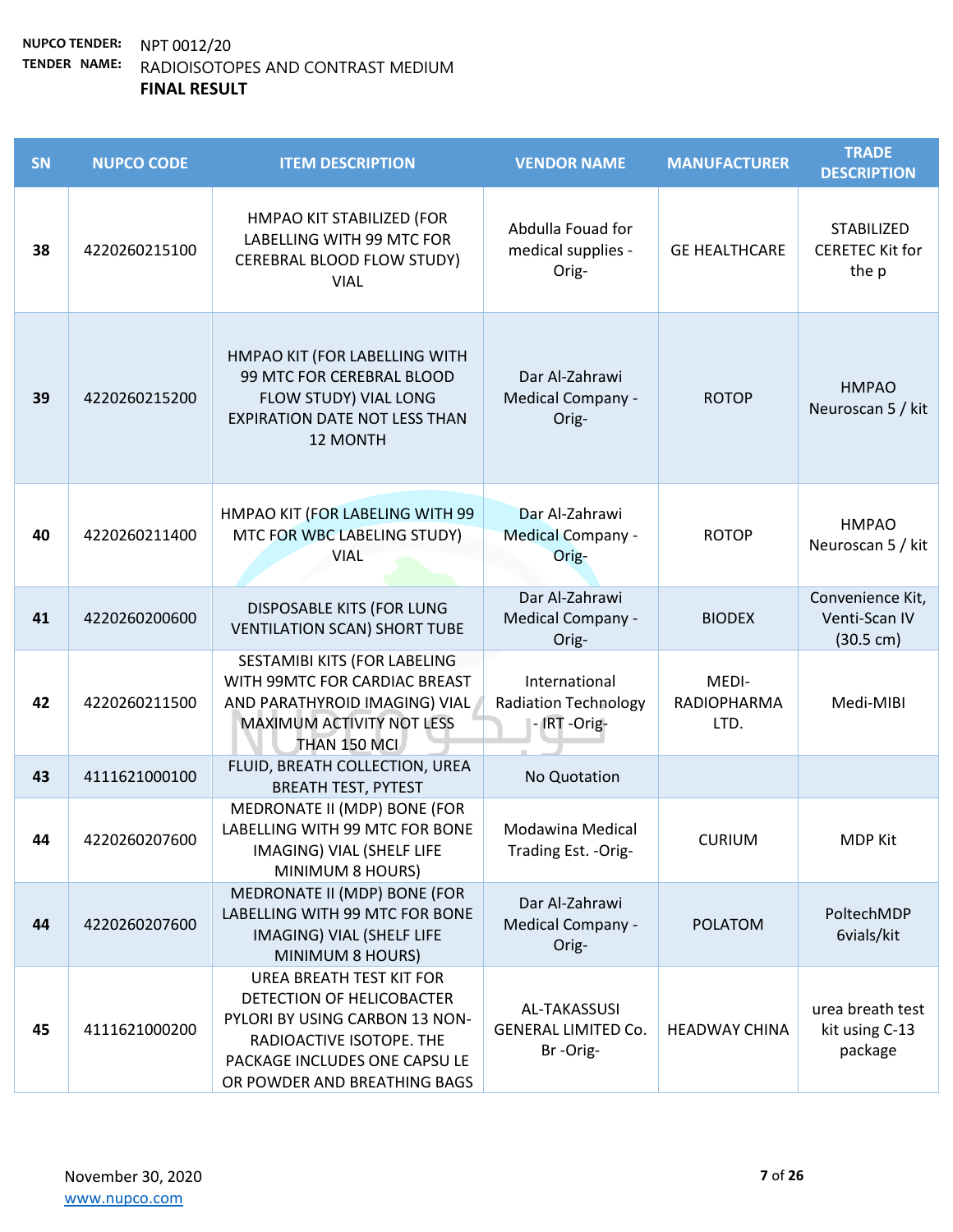| SN | <b>NUPCO CODE</b> | <b>ITEM DESCRIPTION</b>                                                                                                                                                                     | <b>VENDOR NAME</b>                                           | <b>MANUFACTURER</b>                 | <b>TRADE</b><br><b>DESCRIPTION</b>                       |
|----|-------------------|---------------------------------------------------------------------------------------------------------------------------------------------------------------------------------------------|--------------------------------------------------------------|-------------------------------------|----------------------------------------------------------|
| 38 | 4220260215100     | HMPAO KIT STABILIZED (FOR<br>LABELLING WITH 99 MTC FOR<br>CEREBRAL BLOOD FLOW STUDY)<br><b>VIAL</b>                                                                                         | Abdulla Fouad for<br>medical supplies -<br>Orig-             | <b>GE HEALTHCARE</b>                | STABILIZED<br><b>CERETEC Kit for</b><br>the p            |
| 39 | 4220260215200     | HMPAO KIT (FOR LABELLING WITH<br>99 MTC FOR CEREBRAL BLOOD<br>FLOW STUDY) VIAL LONG<br><b>EXPIRATION DATE NOT LESS THAN</b><br>12 MONTH                                                     | Dar Al-Zahrawi<br>Medical Company -<br>Orig-                 | <b>ROTOP</b>                        | <b>HMPAO</b><br>Neuroscan 5 / kit                        |
| 40 | 4220260211400     | HMPAO KIT (FOR LABELING WITH 99<br>MTC FOR WBC LABELING STUDY)<br><b>VIAL</b>                                                                                                               | Dar Al-Zahrawi<br><b>Medical Company -</b><br>Orig-          | <b>ROTOP</b>                        | <b>HMPAO</b><br>Neuroscan 5 / kit                        |
| 41 | 4220260200600     | <b>DISPOSABLE KITS (FOR LUNG</b><br><b>VENTILATION SCAN) SHORT TUBE</b>                                                                                                                     | Dar Al-Zahrawi<br>Medical Company -<br>Orig-                 | <b>BIODEX</b>                       | Convenience Kit,<br>Venti-Scan IV<br>$(30.5 \text{ cm})$ |
| 42 | 4220260211500     | SESTAMIBI KITS (FOR LABELING<br>WITH 99MTC FOR CARDIAC BREAST<br>AND PARATHYROID IMAGING) VIAL<br>MAXIMUM ACTIVITY NOT LESS<br>THAN 150 MCI                                                 | International<br><b>Radiation Technology</b><br>- IRT -Orig- | MEDI-<br><b>RADIOPHARMA</b><br>LTD. | Medi-MIBI                                                |
| 43 | 4111621000100     | FLUID, BREATH COLLECTION, UREA<br><b>BREATH TEST, PYTEST</b>                                                                                                                                | No Quotation                                                 |                                     |                                                          |
| 44 | 4220260207600     | MEDRONATE II (MDP) BONE (FOR<br>LABELLING WITH 99 MTC FOR BONE<br>IMAGING) VIAL (SHELF LIFE<br>MINIMUM 8 HOURS)                                                                             | Modawina Medical<br>Trading Est. - Orig-                     | <b>CURIUM</b>                       | <b>MDP Kit</b>                                           |
| 44 | 4220260207600     | MEDRONATE II (MDP) BONE (FOR<br>LABELLING WITH 99 MTC FOR BONE<br>IMAGING) VIAL (SHELF LIFE<br>MINIMUM 8 HOURS)                                                                             | Dar Al-Zahrawi<br>Medical Company -<br>Orig-                 | <b>POLATOM</b>                      | PoltechMDP<br>6vials/kit                                 |
| 45 | 4111621000200     | <b>UREA BREATH TEST KIT FOR</b><br>DETECTION OF HELICOBACTER<br>PYLORI BY USING CARBON 13 NON-<br>RADIOACTIVE ISOTOPE. THE<br>PACKAGE INCLUDES ONE CAPSU LE<br>OR POWDER AND BREATHING BAGS | AL-TAKASSUSI<br><b>GENERAL LIMITED Co.</b><br>Br-Orig-       | <b>HEADWAY CHINA</b>                | urea breath test<br>kit using C-13<br>package            |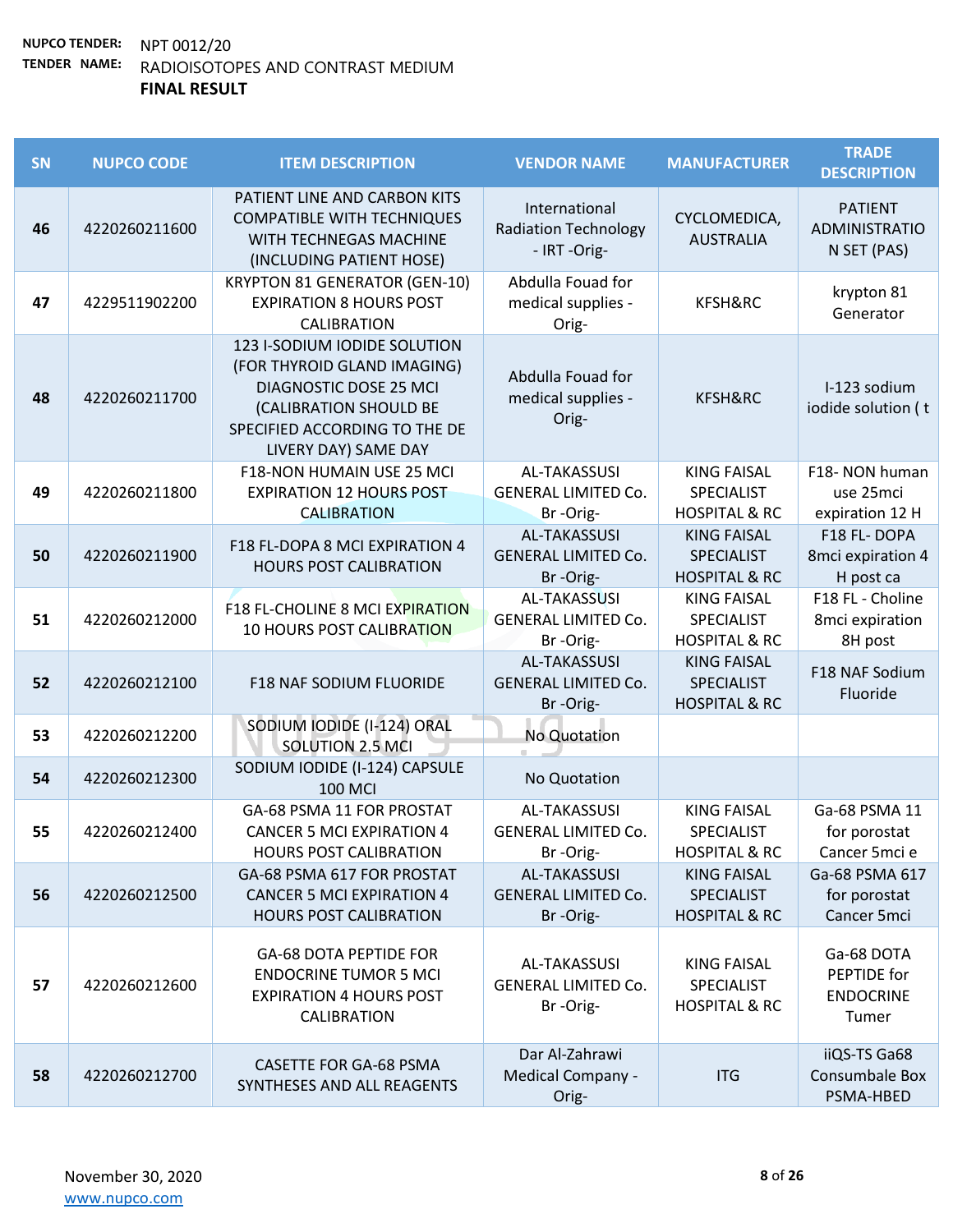| SN | <b>NUPCO CODE</b> | <b>ITEM DESCRIPTION</b>                                                                                                                                                  | <b>VENDOR NAME</b>                                            | <b>MANUFACTURER</b>                                                 | <b>TRADE</b><br><b>DESCRIPTION</b>                     |
|----|-------------------|--------------------------------------------------------------------------------------------------------------------------------------------------------------------------|---------------------------------------------------------------|---------------------------------------------------------------------|--------------------------------------------------------|
| 46 | 4220260211600     | PATIENT LINE AND CARBON KITS<br><b>COMPATIBLE WITH TECHNIQUES</b><br>WITH TECHNEGAS MACHINE<br>(INCLUDING PATIENT HOSE)                                                  | International<br><b>Radiation Technology</b><br>- IRT-Orig-   | CYCLOMEDICA,<br><b>AUSTRALIA</b>                                    | <b>PATIENT</b><br><b>ADMINISTRATIO</b><br>N SET (PAS)  |
| 47 | 4229511902200     | <b>KRYPTON 81 GENERATOR (GEN-10)</b><br><b>EXPIRATION 8 HOURS POST</b><br>CALIBRATION                                                                                    | Abdulla Fouad for<br>medical supplies -<br>Orig-              | KFSH&RC                                                             | krypton 81<br>Generator                                |
| 48 | 4220260211700     | 123 I-SODIUM IODIDE SOLUTION<br>(FOR THYROID GLAND IMAGING)<br>DIAGNOSTIC DOSE 25 MCI<br>(CALIBRATION SHOULD BE<br>SPECIFIED ACCORDING TO THE DE<br>LIVERY DAY) SAME DAY | Abdulla Fouad for<br>medical supplies -<br>Orig-              | KFSH&RC                                                             | I-123 sodium<br>iodide solution (t                     |
| 49 | 4220260211800     | F18-NON HUMAIN USE 25 MCI<br><b>EXPIRATION 12 HOURS POST</b><br><b>CALIBRATION</b>                                                                                       | AL-TAKASSUSI<br><b>GENERAL LIMITED Co.</b><br>Br-Orig-        | <b>KING FAISAL</b><br><b>SPECIALIST</b><br><b>HOSPITAL &amp; RC</b> | F18- NON human<br>use 25mci<br>expiration 12 H         |
| 50 | 4220260211900     | F18 FL-DOPA 8 MCI EXPIRATION 4<br><b>HOURS POST CALIBRATION</b>                                                                                                          | <b>AL-TAKASSUSI</b><br><b>GENERAL LIMITED Co.</b><br>Br-Orig- | <b>KING FAISAL</b><br><b>SPECIALIST</b><br><b>HOSPITAL &amp; RC</b> | F18 FL-DOPA<br>8mci expiration 4<br>H post ca          |
| 51 | 4220260212000     | <b>F18 FL-CHOLINE 8 MCI EXPIRATION</b><br><b>10 HOURS POST CALIBRATION</b>                                                                                               | <b>AL-TAKASSUSI</b><br><b>GENERAL LIMITED Co.</b><br>Br-Orig- | <b>KING FAISAL</b><br>SPECIALIST<br><b>HOSPITAL &amp; RC</b>        | F18 FL - Choline<br>8mci expiration<br>8H post         |
| 52 | 4220260212100     | <b>F18 NAF SODIUM FLUORIDE</b>                                                                                                                                           | <b>AL-TAKASSUSI</b><br><b>GENERAL LIMITED Co.</b><br>Br-Orig- | <b>KING FAISAL</b><br><b>SPECIALIST</b><br><b>HOSPITAL &amp; RC</b> | F18 NAF Sodium<br>Fluoride                             |
| 53 | 4220260212200     | SODIUM IODIDE (I-124) ORAL<br><b>SOLUTION 2.5 MCI</b>                                                                                                                    | No Quotation                                                  |                                                                     |                                                        |
| 54 | 4220260212300     | SODIUM IODIDE (I-124) CAPSULE<br><b>100 MCI</b>                                                                                                                          | No Quotation                                                  |                                                                     |                                                        |
| 55 | 4220260212400     | GA-68 PSMA 11 FOR PROSTAT<br><b>CANCER 5 MCI EXPIRATION 4</b><br><b>HOURS POST CALIBRATION</b>                                                                           | <b>AL-TAKASSUSI</b><br><b>GENERAL LIMITED Co.</b><br>Br-Orig- | <b>KING FAISAL</b><br><b>SPECIALIST</b><br><b>HOSPITAL &amp; RC</b> | Ga-68 PSMA 11<br>for porostat<br>Cancer 5mci e         |
| 56 | 4220260212500     | GA-68 PSMA 617 FOR PROSTAT<br><b>CANCER 5 MCI EXPIRATION 4</b><br><b>HOURS POST CALIBRATION</b>                                                                          | <b>AL-TAKASSUSI</b><br><b>GENERAL LIMITED Co.</b><br>Br-Orig- | <b>KING FAISAL</b><br><b>SPECIALIST</b><br><b>HOSPITAL &amp; RC</b> | Ga-68 PSMA 617<br>for porostat<br>Cancer 5mci          |
| 57 | 4220260212600     | <b>GA-68 DOTA PEPTIDE FOR</b><br><b>ENDOCRINE TUMOR 5 MCI</b><br><b>EXPIRATION 4 HOURS POST</b><br>CALIBRATION                                                           | AL-TAKASSUSI<br><b>GENERAL LIMITED Co.</b><br>Br-Orig-        | <b>KING FAISAL</b><br><b>SPECIALIST</b><br><b>HOSPITAL &amp; RC</b> | Ga-68 DOTA<br>PEPTIDE for<br><b>ENDOCRINE</b><br>Tumer |
| 58 | 4220260212700     | <b>CASETTE FOR GA-68 PSMA</b><br>SYNTHESES AND ALL REAGENTS                                                                                                              | Dar Al-Zahrawi<br>Medical Company -<br>Orig-                  | <b>ITG</b>                                                          | iiQS-TS Ga68<br>Consumbale Box<br>PSMA-HBED            |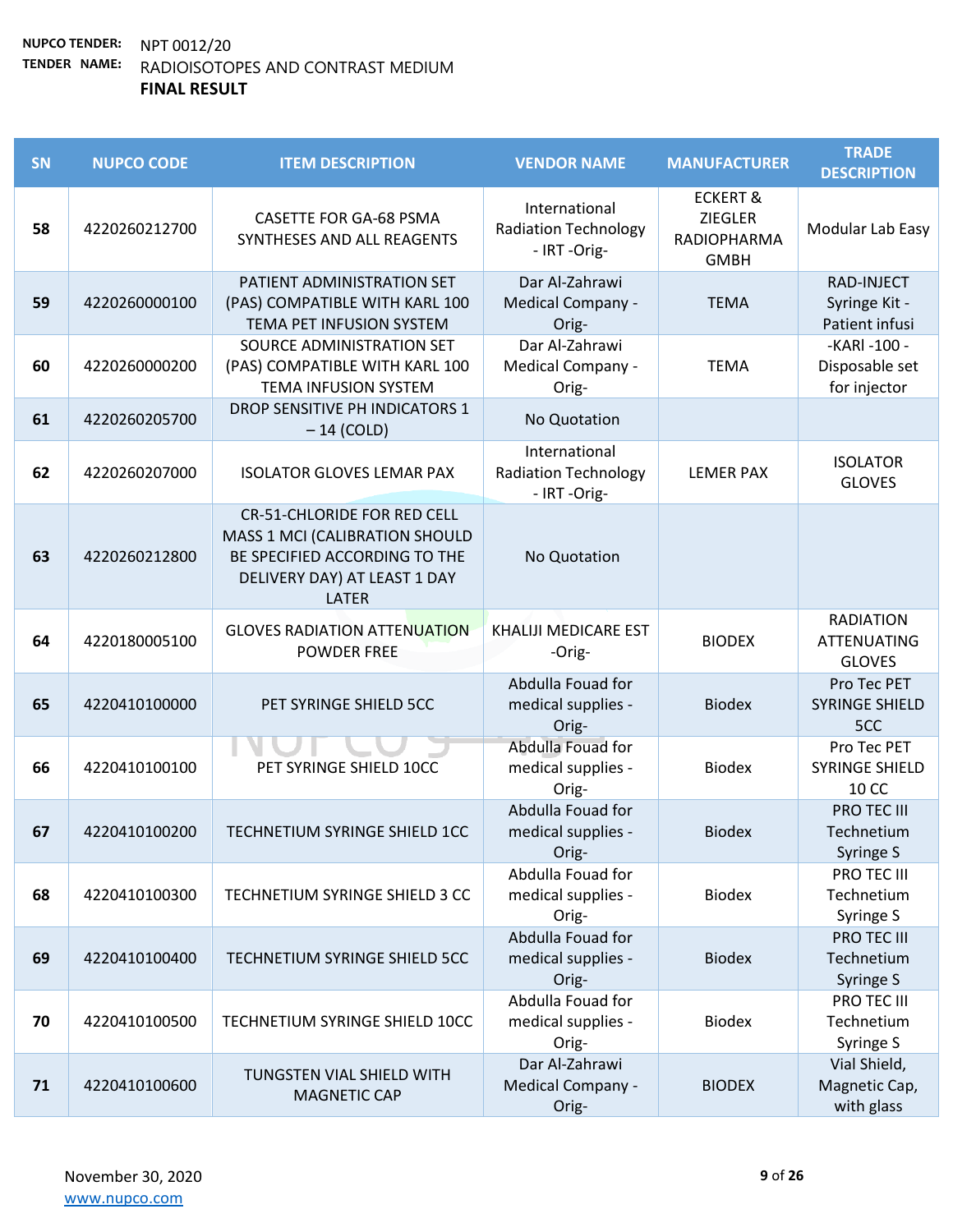| SN | <b>NUPCO CODE</b> | <b>ITEM DESCRIPTION</b>                                                                                                                               | <b>VENDOR NAME</b>                                           | <b>MANUFACTURER</b>                                                 | <b>TRADE</b><br><b>DESCRIPTION</b>                      |
|----|-------------------|-------------------------------------------------------------------------------------------------------------------------------------------------------|--------------------------------------------------------------|---------------------------------------------------------------------|---------------------------------------------------------|
| 58 | 4220260212700     | <b>CASETTE FOR GA-68 PSMA</b><br>SYNTHESES AND ALL REAGENTS                                                                                           | International<br><b>Radiation Technology</b><br>- IRT-Orig-  | <b>ECKERT &amp;</b><br><b>ZIEGLER</b><br>RADIOPHARMA<br><b>GMBH</b> | Modular Lab Easy                                        |
| 59 | 4220260000100     | PATIENT ADMINISTRATION SET<br>(PAS) COMPATIBLE WITH KARL 100<br>TEMA PET INFUSION SYSTEM                                                              | Dar Al-Zahrawi<br>Medical Company -<br>Orig-                 | <b>TEMA</b>                                                         | RAD-INJECT<br>Syringe Kit -<br>Patient infusi           |
| 60 | 4220260000200     | SOURCE ADMINISTRATION SET<br>(PAS) COMPATIBLE WITH KARL 100<br><b>TEMA INFUSION SYSTEM</b>                                                            | Dar Al-Zahrawi<br>Medical Company -<br>Orig-                 | <b>TEMA</b>                                                         | -KARI -100 -<br>Disposable set<br>for injector          |
| 61 | 4220260205700     | DROP SENSITIVE PH INDICATORS 1<br>$-14$ (COLD)                                                                                                        | No Quotation                                                 |                                                                     |                                                         |
| 62 | 4220260207000     | <b>ISOLATOR GLOVES LEMAR PAX</b>                                                                                                                      | International<br><b>Radiation Technology</b><br>- IRT -Orig- | <b>LEMER PAX</b>                                                    | <b>ISOLATOR</b><br><b>GLOVES</b>                        |
| 63 | 4220260212800     | <b>CR-51-CHLORIDE FOR RED CELL</b><br>MASS 1 MCI (CALIBRATION SHOULD<br>BE SPECIFIED ACCORDING TO THE<br>DELIVERY DAY) AT LEAST 1 DAY<br><b>LATER</b> | No Quotation                                                 |                                                                     |                                                         |
| 64 | 4220180005100     | <b>GLOVES RADIATION ATTENUATION</b><br><b>POWDER FREE</b>                                                                                             | <b>KHALIJI MEDICARE EST</b><br>-Orig-                        | <b>BIODEX</b>                                                       | <b>RADIATION</b><br><b>ATTENUATING</b><br><b>GLOVES</b> |
| 65 | 4220410100000     | PET SYRINGE SHIELD 5CC                                                                                                                                | Abdulla Fouad for<br>medical supplies -<br>Orig-             | <b>Biodex</b>                                                       | Pro Tec PET<br><b>SYRINGE SHIELD</b><br>5CC             |
| 66 | 4220410100100     | PET SYRINGE SHIELD 10CC                                                                                                                               | Abdulla Fouad for<br>medical supplies -<br>Orig-             | <b>Biodex</b>                                                       | Pro Tec PET<br><b>SYRINGE SHIELD</b><br>10 CC           |
| 67 | 4220410100200     | TECHNETIUM SYRINGE SHIELD 1CC                                                                                                                         | Abdulla Fouad for<br>medical supplies -<br>Orig-             | <b>Biodex</b>                                                       | PRO TEC III<br>Technetium<br>Syringe S                  |
| 68 | 4220410100300     | TECHNETIUM SYRINGE SHIELD 3 CC                                                                                                                        | Abdulla Fouad for<br>medical supplies -<br>Orig-             | <b>Biodex</b>                                                       | PRO TEC III<br>Technetium<br>Syringe S                  |
| 69 | 4220410100400     | TECHNETIUM SYRINGE SHIELD 5CC                                                                                                                         | Abdulla Fouad for<br>medical supplies -<br>Orig-             | <b>Biodex</b>                                                       | PRO TEC III<br>Technetium<br>Syringe S                  |
| 70 | 4220410100500     | TECHNETIUM SYRINGE SHIELD 10CC                                                                                                                        | Abdulla Fouad for<br>medical supplies -<br>Orig-             | <b>Biodex</b>                                                       | PRO TEC III<br>Technetium<br>Syringe S                  |
| 71 | 4220410100600     | TUNGSTEN VIAL SHIELD WITH<br><b>MAGNETIC CAP</b>                                                                                                      | Dar Al-Zahrawi<br>Medical Company -<br>Orig-                 | <b>BIODEX</b>                                                       | Vial Shield,<br>Magnetic Cap,<br>with glass             |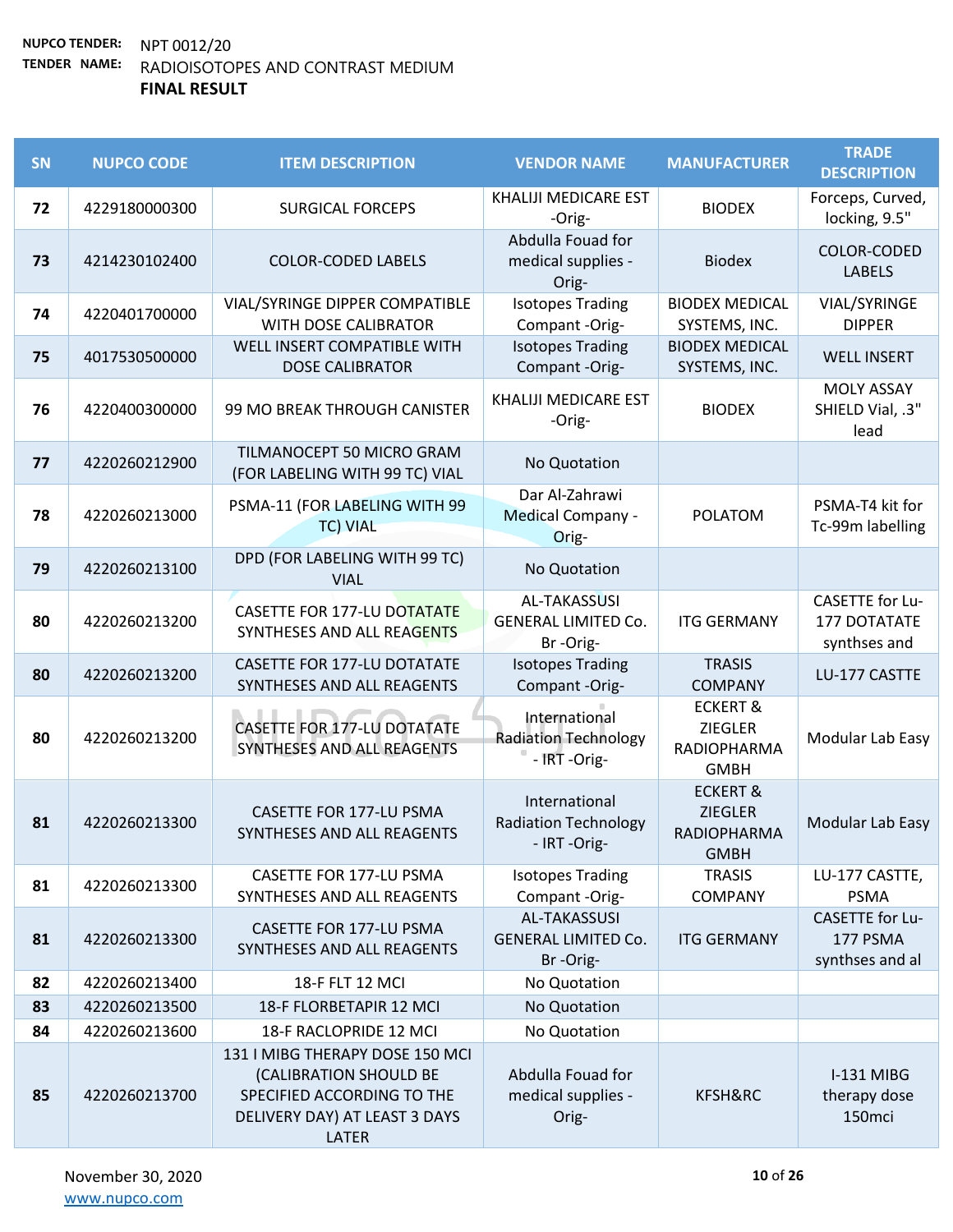| SN | <b>NUPCO CODE</b> | <b>ITEM DESCRIPTION</b>                                                                                                           | <b>VENDOR NAME</b>                                            | <b>MANUFACTURER</b>                                                        | <b>TRADE</b><br><b>DESCRIPTION</b>                     |
|----|-------------------|-----------------------------------------------------------------------------------------------------------------------------------|---------------------------------------------------------------|----------------------------------------------------------------------------|--------------------------------------------------------|
| 72 | 4229180000300     | <b>SURGICAL FORCEPS</b>                                                                                                           | KHALIJI MEDICARE EST<br>-Orig-                                | <b>BIODEX</b>                                                              | Forceps, Curved,<br>locking, 9.5"                      |
| 73 | 4214230102400     | <b>COLOR-CODED LABELS</b>                                                                                                         | Abdulla Fouad for<br>medical supplies -<br>Orig-              | <b>Biodex</b>                                                              | COLOR-CODED<br><b>LABELS</b>                           |
| 74 | 4220401700000     | VIAL/SYRINGE DIPPER COMPATIBLE<br>WITH DOSE CALIBRATOR                                                                            | <b>Isotopes Trading</b><br>Compant -Orig-                     | <b>BIODEX MEDICAL</b><br>SYSTEMS, INC.                                     | VIAL/SYRINGE<br><b>DIPPER</b>                          |
| 75 | 4017530500000     | WELL INSERT COMPATIBLE WITH<br><b>DOSE CALIBRATOR</b>                                                                             | <b>Isotopes Trading</b><br>Compant -Orig-                     | <b>BIODEX MEDICAL</b><br>SYSTEMS, INC.                                     | <b>WELL INSERT</b>                                     |
| 76 | 4220400300000     | 99 MO BREAK THROUGH CANISTER                                                                                                      | KHALIJI MEDICARE EST<br>-Orig-                                | <b>BIODEX</b>                                                              | <b>MOLY ASSAY</b><br>SHIELD Vial, .3"<br>lead          |
| 77 | 4220260212900     | TILMANOCEPT 50 MICRO GRAM<br>(FOR LABELING WITH 99 TC) VIAL                                                                       | No Quotation                                                  |                                                                            |                                                        |
| 78 | 4220260213000     | PSMA-11 (FOR LABELING WITH 99<br><b>TC) VIAL</b>                                                                                  | Dar Al-Zahrawi<br>Medical Company -<br>Orig-                  | <b>POLATOM</b>                                                             | PSMA-T4 kit for<br>Tc-99m labelling                    |
| 79 | 4220260213100     | DPD (FOR LABELING WITH 99 TC)<br><b>VIAL</b>                                                                                      | No Quotation                                                  |                                                                            |                                                        |
| 80 | 4220260213200     | <b>CASETTE FOR 177-LU DOTATATE</b><br>SYNTHESES AND ALL REAGENTS                                                                  | <b>AL-TAKASSUSI</b><br><b>GENERAL LIMITED Co.</b><br>Br-Orig- | <b>ITG GERMANY</b>                                                         | <b>CASETTE</b> for Lu-<br>177 DOTATATE<br>synthses and |
| 80 | 4220260213200     | <b>CASETTE FOR 177-LU DOTATATE</b><br>SYNTHESES AND ALL REAGENTS                                                                  | <b>Isotopes Trading</b><br>Compant -Orig-                     | <b>TRASIS</b><br><b>COMPANY</b>                                            | LU-177 CASTTE                                          |
| 80 | 4220260213200     | <b>CASETTE FOR 177-LU DOTATATE</b><br>SYNTHESES AND ALL REAGENTS                                                                  | International<br><b>Radiation Technology</b><br>- IRT -Orig-  | <b>ECKERT &amp;</b><br><b>ZIEGLER</b><br><b>RADIOPHARMA</b><br><b>GMBH</b> | Modular Lab Easy                                       |
| 81 | 4220260213300     | <b>CASETTE FOR 177-LU PSMA</b><br>SYNTHESES AND ALL REAGENTS                                                                      | International<br><b>Radiation Technology</b><br>- IRT -Orig-  | <b>ECKERT &amp;</b><br><b>ZIEGLER</b><br>RADIOPHARMA<br><b>GMBH</b>        | Modular Lab Easy                                       |
| 81 | 4220260213300     | CASETTE FOR 177-LU PSMA<br>SYNTHESES AND ALL REAGENTS                                                                             | <b>Isotopes Trading</b><br>Compant -Orig-                     | <b>TRASIS</b><br><b>COMPANY</b>                                            | LU-177 CASTTE,<br><b>PSMA</b>                          |
| 81 | 4220260213300     | CASETTE FOR 177-LU PSMA<br>SYNTHESES AND ALL REAGENTS                                                                             | <b>AL-TAKASSUSI</b><br><b>GENERAL LIMITED Co.</b><br>Br-Orig- | <b>ITG GERMANY</b>                                                         | <b>CASETTE for Lu-</b><br>177 PSMA<br>synthses and al  |
| 82 | 4220260213400     | 18-F FLT 12 MCI                                                                                                                   | No Quotation                                                  |                                                                            |                                                        |
| 83 | 4220260213500     | 18-F FLORBETAPIR 12 MCI                                                                                                           | No Quotation                                                  |                                                                            |                                                        |
| 84 | 4220260213600     | 18-F RACLOPRIDE 12 MCI                                                                                                            | No Quotation                                                  |                                                                            |                                                        |
| 85 | 4220260213700     | 131   MIBG THERAPY DOSE 150 MCI<br>(CALIBRATION SHOULD BE<br>SPECIFIED ACCORDING TO THE<br>DELIVERY DAY) AT LEAST 3 DAYS<br>LATER | Abdulla Fouad for<br>medical supplies -<br>Orig-              | KFSH&RC                                                                    | <b>I-131 MIBG</b><br>therapy dose<br>150mci            |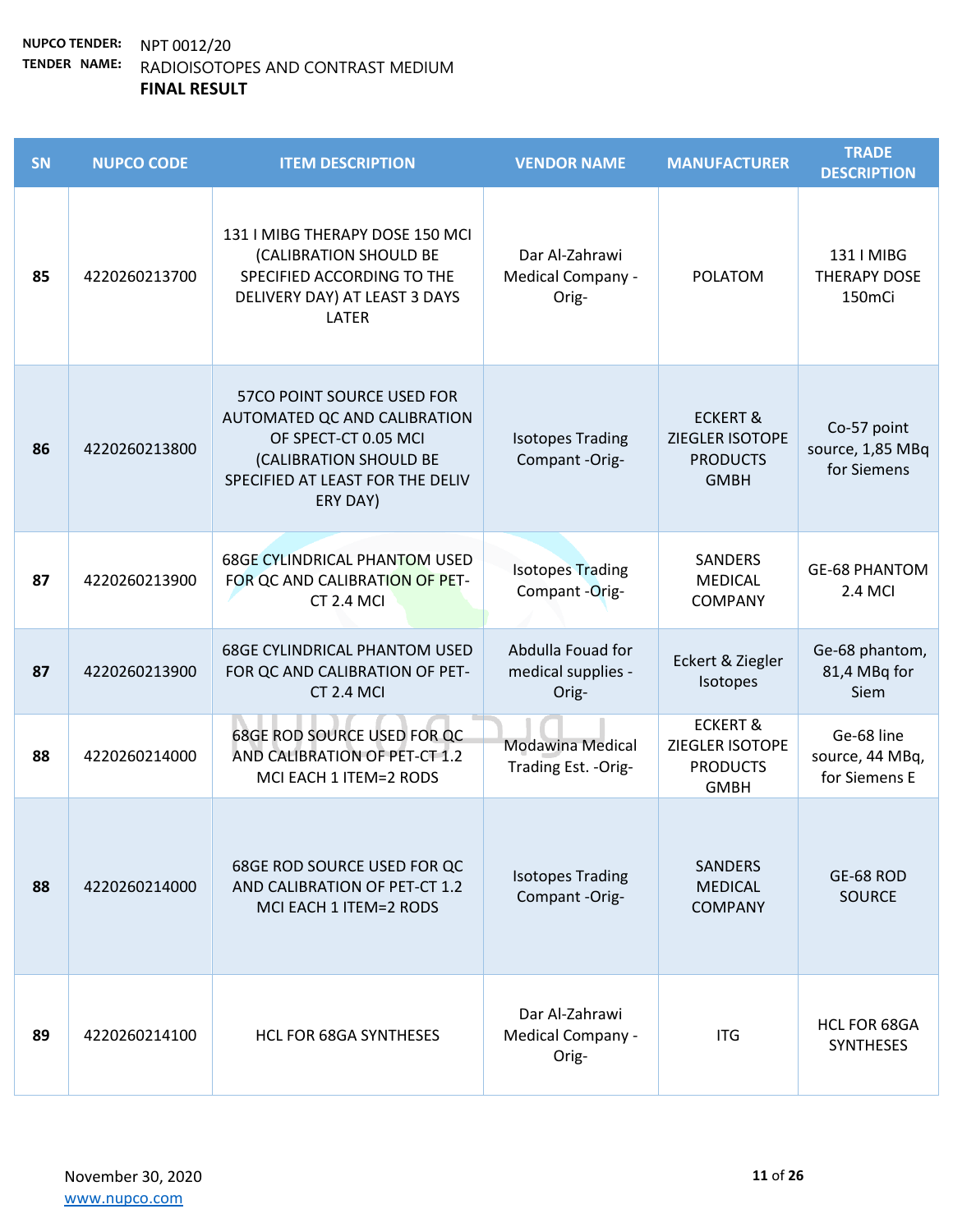| <b>SN</b> | <b>NUPCO CODE</b> | <b>ITEM DESCRIPTION</b>                                                                                                                                      | <b>VENDOR NAME</b>                               | <b>MANUFACTURER</b>                                                      | <b>TRADE</b><br><b>DESCRIPTION</b>                      |
|-----------|-------------------|--------------------------------------------------------------------------------------------------------------------------------------------------------------|--------------------------------------------------|--------------------------------------------------------------------------|---------------------------------------------------------|
| 85        | 4220260213700     | 131   MIBG THERAPY DOSE 150 MCI<br>(CALIBRATION SHOULD BE<br>SPECIFIED ACCORDING TO THE<br>DELIVERY DAY) AT LEAST 3 DAYS<br>LATER                            | Dar Al-Zahrawi<br>Medical Company -<br>Orig-     | <b>POLATOM</b>                                                           | 131   MIBG<br><b>THERAPY DOSE</b><br>150 <sub>mCi</sub> |
| 86        | 4220260213800     | 57CO POINT SOURCE USED FOR<br>AUTOMATED QC AND CALIBRATION<br>OF SPECT-CT 0.05 MCI<br>(CALIBRATION SHOULD BE<br>SPECIFIED AT LEAST FOR THE DELIV<br>ERY DAY) | <b>Isotopes Trading</b><br>Compant -Orig-        | <b>ECKERT &amp;</b><br>ZIEGLER ISOTOPE<br><b>PRODUCTS</b><br><b>GMBH</b> | Co-57 point<br>source, 1,85 MBq<br>for Siemens          |
| 87        | 4220260213900     | <b>68GE CYLINDRICAL PHANTOM USED</b><br>FOR QC AND CALIBRATION OF PET-<br>CT 2.4 MCI                                                                         | <b>Isotopes Trading</b><br>Compant -Orig-        | SANDERS<br><b>MEDICAL</b><br><b>COMPANY</b>                              | <b>GE-68 PHANTOM</b><br>2.4 MCI                         |
| 87        | 4220260213900     | <b>68GE CYLINDRICAL PHANTOM USED</b><br>FOR QC AND CALIBRATION OF PET-<br>CT 2.4 MCI                                                                         | Abdulla Fouad for<br>medical supplies -<br>Orig- | Eckert & Ziegler<br>Isotopes                                             | Ge-68 phantom,<br>81,4 MBq for<br><b>Siem</b>           |
| 88        | 4220260214000     | <b>68GE ROD SOURCE USED FOR QC</b><br>AND CALIBRATION OF PET-CT 1.2<br>MCI EACH 1 ITEM=2 RODS                                                                | <b>Modawina Medical</b><br>Trading Est. - Orig-  | <b>ECKERT &amp;</b><br>ZIEGLER ISOTOPE<br><b>PRODUCTS</b><br><b>GMBH</b> | Ge-68 line<br>source, 44 MBq,<br>for Siemens E          |
| 88        | 4220260214000     | 68GE ROD SOURCE USED FOR QC<br>AND CALIBRATION OF PET-CT 1.2<br>MCI EACH 1 ITEM=2 RODS                                                                       | <b>Isotopes Trading</b><br>Compant -Orig-        | <b>SANDERS</b><br><b>MEDICAL</b><br><b>COMPANY</b>                       | GE-68 ROD<br><b>SOURCE</b>                              |
| 89        | 4220260214100     | <b>HCL FOR 68GA SYNTHESES</b>                                                                                                                                | Dar Al-Zahrawi<br>Medical Company -<br>Orig-     | <b>ITG</b>                                                               | <b>HCL FOR 68GA</b><br><b>SYNTHESES</b>                 |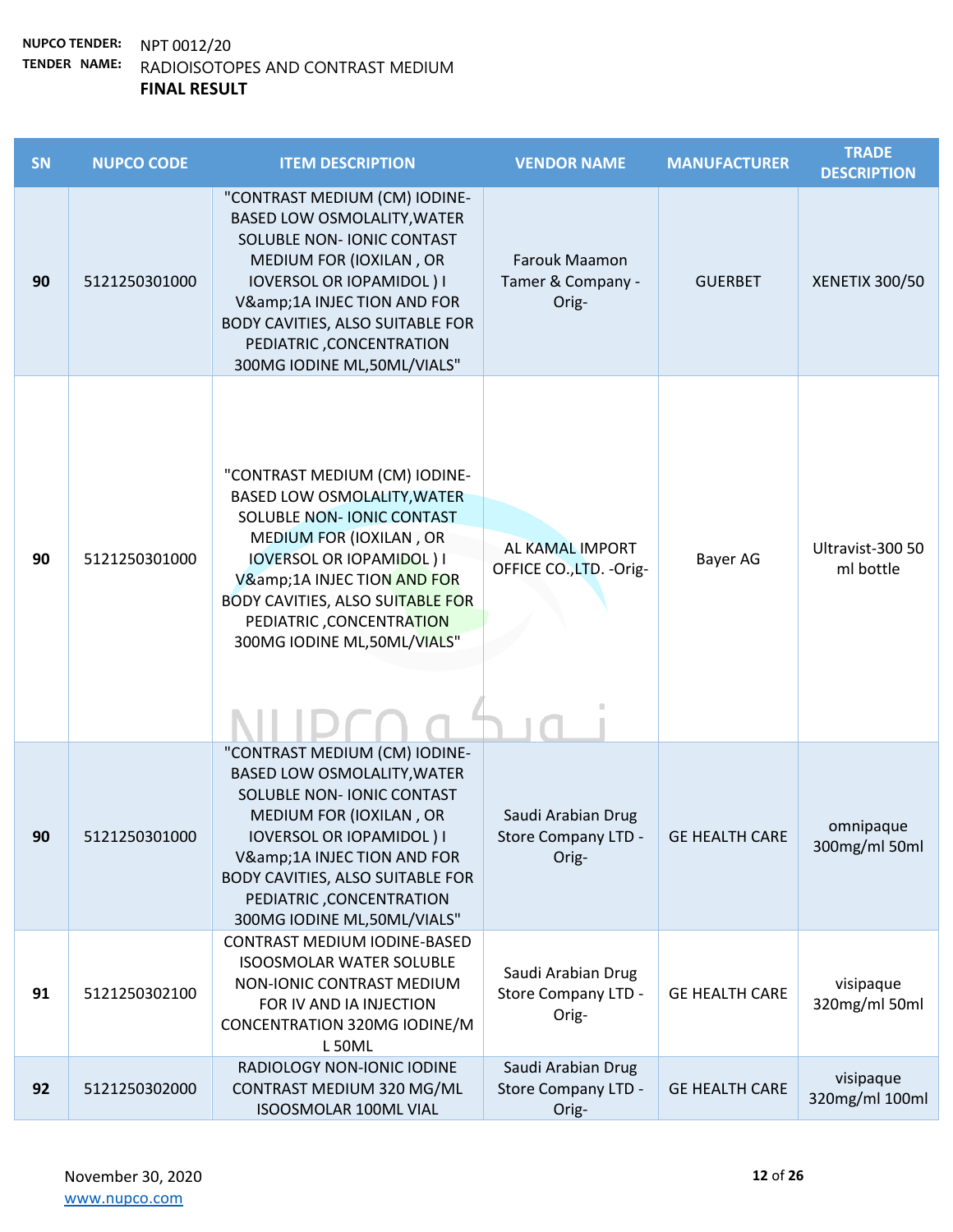| SN | <b>NUPCO CODE</b> | <b>ITEM DESCRIPTION</b>                                                                                                                                                                                                                                                                          | <b>VENDOR NAME</b>                                 | <b>MANUFACTURER</b>   | <b>TRADE</b><br><b>DESCRIPTION</b> |
|----|-------------------|--------------------------------------------------------------------------------------------------------------------------------------------------------------------------------------------------------------------------------------------------------------------------------------------------|----------------------------------------------------|-----------------------|------------------------------------|
| 90 | 5121250301000     | "CONTRAST MEDIUM (CM) IODINE-<br><b>BASED LOW OSMOLALITY, WATER</b><br>SOLUBLE NON- IONIC CONTAST<br>MEDIUM FOR (IOXILAN, OR<br><b>IOVERSOL OR IOPAMIDOL) I</b><br>V&1A INJEC TION AND FOR<br>BODY CAVITIES, ALSO SUITABLE FOR<br>PEDIATRIC, CONCENTRATION<br>300MG IODINE ML,50ML/VIALS"        | Farouk Maamon<br>Tamer & Company -<br>Orig-        | <b>GUERBET</b>        | XENETIX 300/50                     |
| 90 | 5121250301000     | "CONTRAST MEDIUM (CM) IODINE-<br><b>BASED LOW OSMOLALITY, WATER</b><br>SOLUBLE NON- IONIC CONTAST<br>MEDIUM FOR (IOXILAN, OR<br><b>IOVERSOL OR IOPAMIDOL) I</b><br>V&1A INJEC TION AND FOR<br><b>BODY CAVITIES, ALSO SUITABLE FOR</b><br>PEDIATRIC, CONCENTRATION<br>300MG IODINE ML,50ML/VIALS" | AL KAMAL IMPORT<br>OFFICE CO., LTD. - Orig-        | Bayer AG              | Ultravist-300 50<br>ml bottle      |
| 90 | 5121250301000     | "CONTRAST MEDIUM (CM) IODINE-<br><b>BASED LOW OSMOLALITY, WATER</b><br>SOLUBLE NON- IONIC CONTAST<br>MEDIUM FOR (IOXILAN, OR<br><b>IOVERSOL OR IOPAMIDOL) I</b><br>V&1A INJEC TION AND FOR<br>BODY CAVITIES, ALSO SUITABLE FOR<br>PEDIATRIC, CONCENTRATION<br>300MG IODINE ML,50ML/VIALS"        | Saudi Arabian Drug<br>Store Company LTD -<br>Orig- | <b>GE HEALTH CARE</b> | omnipaque<br>300mg/ml 50ml         |
| 91 | 5121250302100     | CONTRAST MEDIUM IODINE-BASED<br><b>ISOOSMOLAR WATER SOLUBLE</b><br>NON-IONIC CONTRAST MEDIUM<br>FOR IV AND IA INJECTION<br>CONCENTRATION 320MG IODINE/M<br><b>L50ML</b>                                                                                                                          | Saudi Arabian Drug<br>Store Company LTD -<br>Orig- | <b>GE HEALTH CARE</b> | visipaque<br>320mg/ml 50ml         |
| 92 | 5121250302000     | RADIOLOGY NON-IONIC IODINE<br>CONTRAST MEDIUM 320 MG/ML<br><b>ISOOSMOLAR 100ML VIAL</b>                                                                                                                                                                                                          | Saudi Arabian Drug<br>Store Company LTD -<br>Orig- | <b>GE HEALTH CARE</b> | visipaque<br>320mg/ml 100ml        |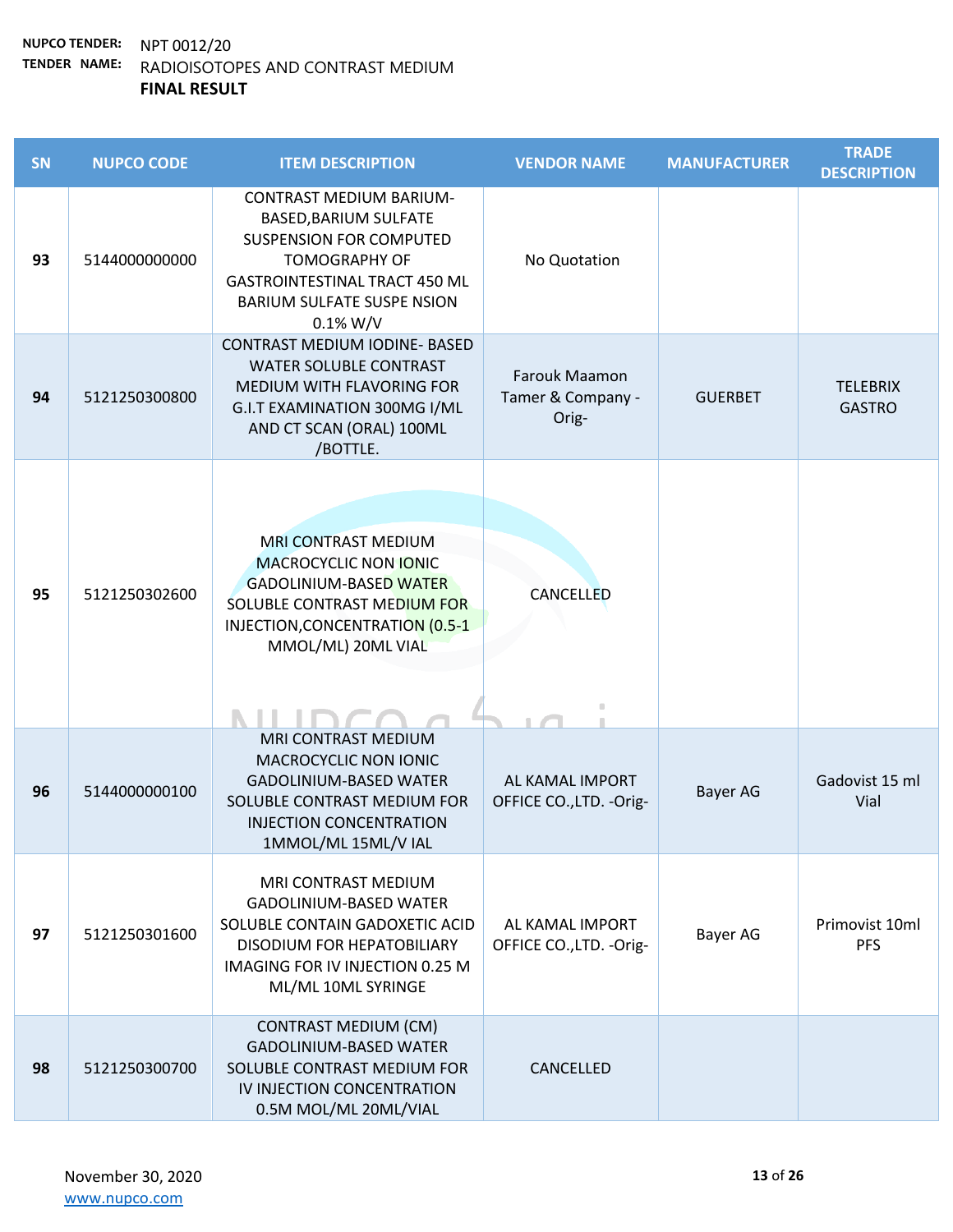| <b>SN</b> | <b>NUPCO CODE</b> | <b>ITEM DESCRIPTION</b>                                                                                                                                                                                       | <b>VENDOR NAME</b>                          | <b>MANUFACTURER</b> | <b>TRADE</b><br><b>DESCRIPTION</b> |
|-----------|-------------------|---------------------------------------------------------------------------------------------------------------------------------------------------------------------------------------------------------------|---------------------------------------------|---------------------|------------------------------------|
| 93        | 5144000000000     | <b>CONTRAST MEDIUM BARIUM-</b><br>BASED, BARIUM SULFATE<br><b>SUSPENSION FOR COMPUTED</b><br><b>TOMOGRAPHY OF</b><br><b>GASTROINTESTINAL TRACT 450 ML</b><br><b>BARIUM SULFATE SUSPE NSION</b><br>$0.1\% W/V$ | No Quotation                                |                     |                                    |
| 94        | 5121250300800     | <b>CONTRAST MEDIUM IODINE- BASED</b><br><b>WATER SOLUBLE CONTRAST</b><br>MEDIUM WITH FLAVORING FOR<br>G.I.T EXAMINATION 300MG I/ML<br>AND CT SCAN (ORAL) 100ML<br>/BOTTLE.                                    | Farouk Maamon<br>Tamer & Company -<br>Orig- | <b>GUERBET</b>      | <b>TELEBRIX</b><br><b>GASTRO</b>   |
| 95        | 5121250302600     | <b>MRI CONTRAST MEDIUM</b><br><b>MACROCYCLIC NON IONIC</b><br><b>GADOLINIUM-BASED WATER</b><br>SOLUBLE CONTRAST MEDIUM FOR<br>INJECTION, CONCENTRATION (0.5-1<br>MMOL/ML) 20ML VIAL                           | <b>CANCELLED</b>                            |                     |                                    |
| 96        | 5144000000100     | MRI CONTRAST MEDIUM<br>MACROCYCLIC NON IONIC<br><b>GADOLINIUM-BASED WATER</b><br>SOLUBLE CONTRAST MEDIUM FOR<br><b>INJECTION CONCENTRATION</b><br>1MMOL/ML 15ML/V IAL                                         | AL KAMAL IMPORT<br>OFFICE CO., LTD. - Orig- | Bayer AG            | Gadovist 15 ml<br>Vial             |
| 97        | 5121250301600     | MRI CONTRAST MEDIUM<br><b>GADOLINIUM-BASED WATER</b><br>SOLUBLE CONTAIN GADOXETIC ACID<br>DISODIUM FOR HEPATOBILIARY<br>IMAGING FOR IV INJECTION 0.25 M<br>ML/ML 10ML SYRINGE                                 | AL KAMAL IMPORT<br>OFFICE CO., LTD. - Orig- | Bayer AG            | Primovist 10ml<br><b>PFS</b>       |
| 98        | 5121250300700     | <b>CONTRAST MEDIUM (CM)</b><br><b>GADOLINIUM-BASED WATER</b><br>SOLUBLE CONTRAST MEDIUM FOR<br>IV INJECTION CONCENTRATION<br>0.5M MOL/ML 20ML/VIAL                                                            | CANCELLED                                   |                     |                                    |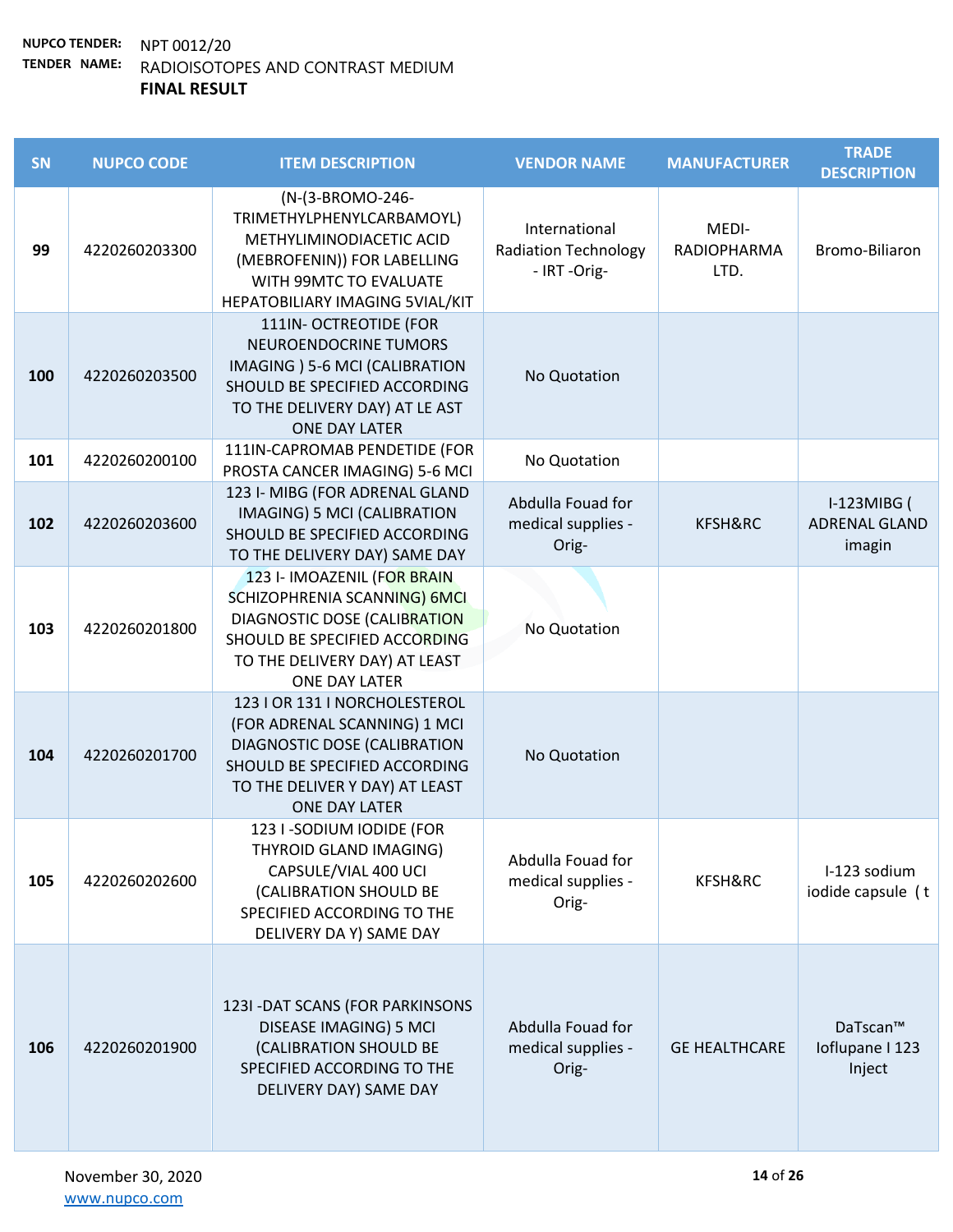| SN  | <b>NUPCO CODE</b> | <b>ITEM DESCRIPTION</b>                                                                                                                                                           | <b>VENDOR NAME</b>                                          | <b>MANUFACTURER</b>                 | <b>TRADE</b><br><b>DESCRIPTION</b>     |
|-----|-------------------|-----------------------------------------------------------------------------------------------------------------------------------------------------------------------------------|-------------------------------------------------------------|-------------------------------------|----------------------------------------|
| 99  | 4220260203300     | (N-(3-BROMO-246-<br>TRIMETHYLPHENYLCARBAMOYL)<br>METHYLIMINODIACETIC ACID<br>(MEBROFENIN)) FOR LABELLING<br>WITH 99MTC TO EVALUATE<br>HEPATOBILIARY IMAGING 5VIAL/KIT             | International<br><b>Radiation Technology</b><br>- IRT-Orig- | MEDI-<br><b>RADIOPHARMA</b><br>LTD. | Bromo-Biliaron                         |
| 100 | 4220260203500     | 111IN- OCTREOTIDE (FOR<br>NEUROENDOCRINE TUMORS<br>IMAGING ) 5-6 MCI (CALIBRATION<br>SHOULD BE SPECIFIED ACCORDING<br>TO THE DELIVERY DAY) AT LE AST<br>ONE DAY LATER             | No Quotation                                                |                                     |                                        |
| 101 | 4220260200100     | 111IN-CAPROMAB PENDETIDE (FOR<br>PROSTA CANCER IMAGING) 5-6 MCI                                                                                                                   | No Quotation                                                |                                     |                                        |
| 102 | 4220260203600     | 123 I- MIBG (FOR ADRENAL GLAND<br><b>IMAGING) 5 MCI (CALIBRATION</b><br>SHOULD BE SPECIFIED ACCORDING<br>TO THE DELIVERY DAY) SAME DAY                                            | Abdulla Fouad for<br>medical supplies -<br>Orig-            | KFSH&RC                             | I-123MIBG (<br>ADRENAL GLAND<br>imagin |
| 103 | 4220260201800     | 123 I- IMOAZENIL (FOR BRAIN<br>SCHIZOPHRENIA SCANNING) 6MCL<br>DIAGNOSTIC DOSE (CALIBRATION<br>SHOULD BE SPECIFIED ACCORDING<br>TO THE DELIVERY DAY) AT LEAST<br>ONE DAY LATER    | No Quotation                                                |                                     |                                        |
| 104 | 4220260201700     | 123   OR 131   NORCHOLESTEROL<br>(FOR ADRENAL SCANNING) 1 MCI<br>DIAGNOSTIC DOSE (CALIBRATION<br>SHOULD BE SPECIFIED ACCORDING<br>TO THE DELIVER Y DAY) AT LEAST<br>ONE DAY LATER | No Quotation                                                |                                     |                                        |
| 105 | 4220260202600     | 123 I -SODIUM IODIDE (FOR<br>THYROID GLAND IMAGING)<br>CAPSULE/VIAL 400 UCI<br>(CALIBRATION SHOULD BE<br>SPECIFIED ACCORDING TO THE<br>DELIVERY DA Y) SAME DAY                    | Abdulla Fouad for<br>medical supplies -<br>Orig-            | KFSH&RC                             | I-123 sodium<br>iodide capsule (t      |
| 106 | 4220260201900     | 123I - DAT SCANS (FOR PARKINSONS<br>DISEASE IMAGING) 5 MCI<br>(CALIBRATION SHOULD BE<br>SPECIFIED ACCORDING TO THE<br>DELIVERY DAY) SAME DAY                                      | Abdulla Fouad for<br>medical supplies -<br>Orig-            | <b>GE HEALTHCARE</b>                | DaTscan™<br>Ioflupane I 123<br>Inject  |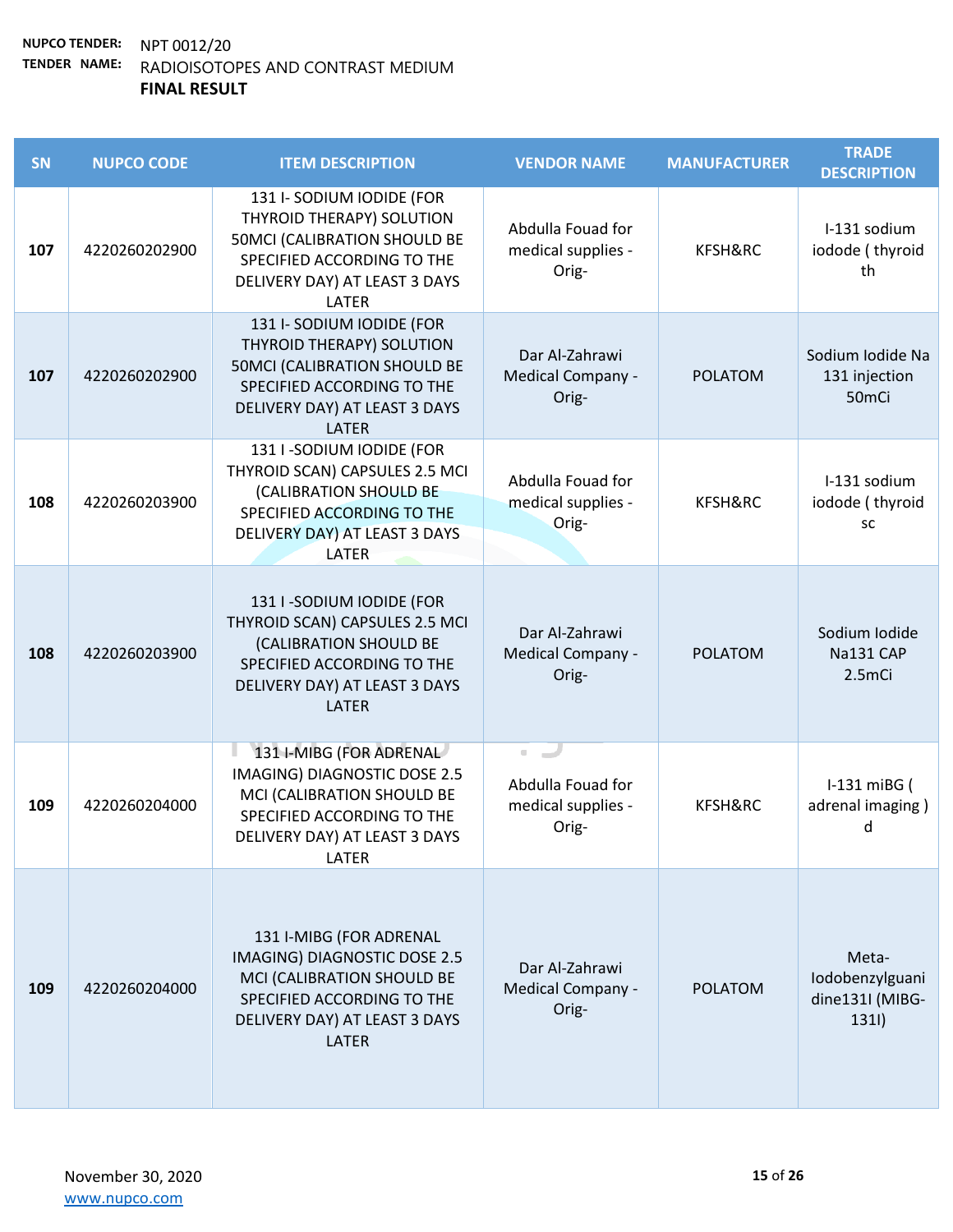| SN  | <b>NUPCO CODE</b> | <b>ITEM DESCRIPTION</b>                                                                                                                                                     | <b>VENDOR NAME</b>                                                                                                                                                                                                                                                                                   | <b>MANUFACTURER</b> | <b>TRADE</b><br><b>DESCRIPTION</b>                     |
|-----|-------------------|-----------------------------------------------------------------------------------------------------------------------------------------------------------------------------|------------------------------------------------------------------------------------------------------------------------------------------------------------------------------------------------------------------------------------------------------------------------------------------------------|---------------------|--------------------------------------------------------|
| 107 | 4220260202900     | 131 I-SODIUM IODIDE (FOR<br>THYROID THERAPY) SOLUTION<br><b>50MCI (CALIBRATION SHOULD BE</b><br>SPECIFIED ACCORDING TO THE<br>DELIVERY DAY) AT LEAST 3 DAYS<br>LATER        | Abdulla Fouad for<br>medical supplies -<br>Orig-                                                                                                                                                                                                                                                     | KFSH&RC             | I-131 sodium<br>iodode (thyroid<br>th                  |
| 107 | 4220260202900     | 131 I-SODIUM IODIDE (FOR<br>THYROID THERAPY) SOLUTION<br><b>50MCI (CALIBRATION SHOULD BE</b><br>SPECIFIED ACCORDING TO THE<br>DELIVERY DAY) AT LEAST 3 DAYS<br><b>LATER</b> | Dar Al-Zahrawi<br>Medical Company -<br>Orig-                                                                                                                                                                                                                                                         | <b>POLATOM</b>      | Sodium Iodide Na<br>131 injection<br>50 <sub>mCi</sub> |
| 108 | 4220260203900     | 131 I -SODIUM IODIDE (FOR<br>THYROID SCAN) CAPSULES 2.5 MCI<br>(CALIBRATION SHOULD BE<br>SPECIFIED ACCORDING TO THE<br>DELIVERY DAY) AT LEAST 3 DAYS<br>LATER               | Abdulla Fouad for<br>medical supplies -<br>Orig-                                                                                                                                                                                                                                                     | KFSH&RC             | I-131 sodium<br>iodode (thyroid<br>SC                  |
| 108 | 4220260203900     | 131 I -SODIUM IODIDE (FOR<br>THYROID SCAN) CAPSULES 2.5 MCI<br>(CALIBRATION SHOULD BE<br>SPECIFIED ACCORDING TO THE<br>DELIVERY DAY) AT LEAST 3 DAYS<br><b>LATER</b>        | Dar Al-Zahrawi<br>Medical Company -<br>Orig-                                                                                                                                                                                                                                                         | <b>POLATOM</b>      | Sodium Iodide<br>Na131 CAP<br>2.5mCi                   |
| 109 | 4220260204000     | 131 I-MIBG (FOR ADRENAL<br>IMAGING) DIAGNOSTIC DOSE 2.5<br>MCI (CALIBRATION SHOULD BE<br>SPECIFIED ACCORDING TO THE<br>DELIVERY DAY) AT LEAST 3 DAYS<br>LATER               | $\blacksquare$<br>a de la construcción de la construcción de la construcción de la construcción de la construcción de la construcción de la construcción de la construcción de la construcción de la construcción de la construcción de la const<br>Abdulla Fouad for<br>medical supplies -<br>Orig- | KFSH&RC             | I-131 miBG (<br>adrenal imaging)<br>d                  |
| 109 | 4220260204000     | 131 I-MIBG (FOR ADRENAL<br>IMAGING) DIAGNOSTIC DOSE 2.5<br>MCI (CALIBRATION SHOULD BE<br>SPECIFIED ACCORDING TO THE<br>DELIVERY DAY) AT LEAST 3 DAYS<br><b>LATER</b>        | Dar Al-Zahrawi<br>Medical Company -<br>Orig-                                                                                                                                                                                                                                                         | <b>POLATOM</b>      | Meta-<br>Iodobenzylguani<br>dine131I (MIBG-<br>1311)   |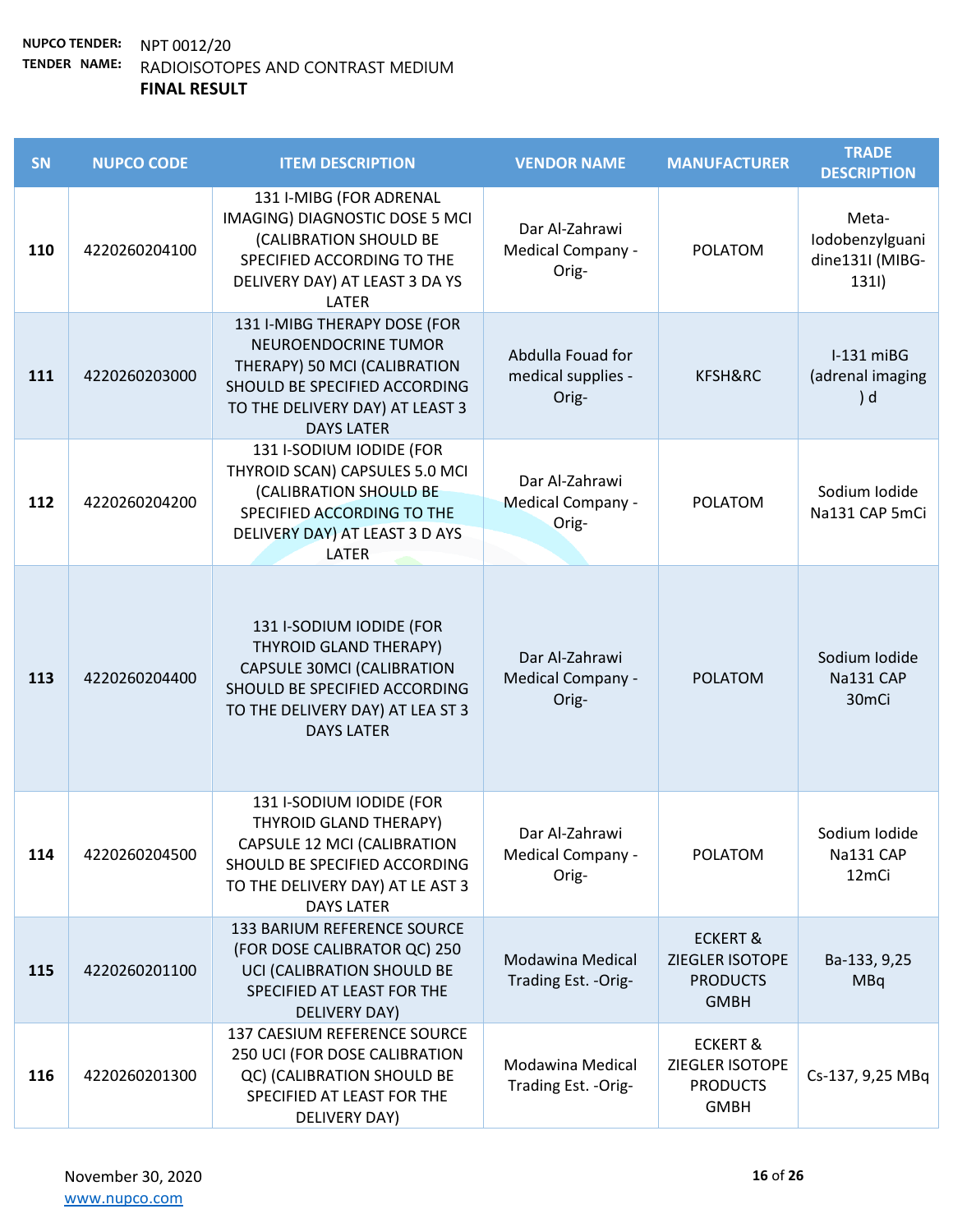| SN  | <b>NUPCO CODE</b> | <b>ITEM DESCRIPTION</b>                                                                                                                                                           | <b>VENDOR NAME</b>                               | <b>MANUFACTURER</b>                                                      | <b>TRADE</b><br><b>DESCRIPTION</b>                   |
|-----|-------------------|-----------------------------------------------------------------------------------------------------------------------------------------------------------------------------------|--------------------------------------------------|--------------------------------------------------------------------------|------------------------------------------------------|
| 110 | 4220260204100     | 131 I-MIBG (FOR ADRENAL<br>IMAGING) DIAGNOSTIC DOSE 5 MCI<br>(CALIBRATION SHOULD BE<br>SPECIFIED ACCORDING TO THE<br>DELIVERY DAY) AT LEAST 3 DA YS<br>LATER                      | Dar Al-Zahrawi<br>Medical Company -<br>Orig-     | <b>POLATOM</b>                                                           | Meta-<br>Iodobenzylguani<br>dine131I (MIBG-<br>1311) |
| 111 | 4220260203000     | 131 I-MIBG THERAPY DOSE (FOR<br>NEUROENDOCRINE TUMOR<br>THERAPY) 50 MCI (CALIBRATION<br>SHOULD BE SPECIFIED ACCORDING<br>TO THE DELIVERY DAY) AT LEAST 3<br><b>DAYS LATER</b>     | Abdulla Fouad for<br>medical supplies -<br>Orig- | KFSH&RC                                                                  | $I-131$ miBG<br>(adrenal imaging<br>) d              |
| 112 | 4220260204200     | 131 I-SODIUM IODIDE (FOR<br>THYROID SCAN) CAPSULES 5.0 MCI<br>(CALIBRATION SHOULD BE<br>SPECIFIED ACCORDING TO THE<br>DELIVERY DAY) AT LEAST 3 D AYS<br>LATER                     | Dar Al-Zahrawi<br>Medical Company -<br>Orig-     | <b>POLATOM</b>                                                           | Sodium Iodide<br>Na131 CAP 5mCi                      |
| 113 | 4220260204400     | 131 I-SODIUM IODIDE (FOR<br>THYROID GLAND THERAPY)<br><b>CAPSULE 30MCI (CALIBRATION</b><br>SHOULD BE SPECIFIED ACCORDING<br>TO THE DELIVERY DAY) AT LEA ST 3<br><b>DAYS LATER</b> | Dar Al-Zahrawi<br>Medical Company -<br>Orig-     | <b>POLATOM</b>                                                           | Sodium Iodide<br>Na131 CAP<br>30 <sub>mCi</sub>      |
| 114 | 4220260204500     | 131 I-SODIUM IODIDE (FOR<br>THYROID GLAND THERAPY)<br>CAPSULE 12 MCI (CALIBRATION<br>SHOULD BE SPECIFIED ACCORDING<br>TO THE DELIVERY DAY) AT LE AST 3<br><b>DAYS LATER</b>       | Dar Al-Zahrawi<br>Medical Company -<br>Orig-     | <b>POLATOM</b>                                                           | Sodium Iodide<br>Na131 CAP<br>12mCi                  |
| 115 | 4220260201100     | 133 BARIUM REFERENCE SOURCE<br>(FOR DOSE CALIBRATOR QC) 250<br>UCI (CALIBRATION SHOULD BE<br>SPECIFIED AT LEAST FOR THE<br>DELIVERY DAY)                                          | Modawina Medical<br>Trading Est. - Orig-         | <b>ECKERT &amp;</b><br>ZIEGLER ISOTOPE<br><b>PRODUCTS</b><br><b>GMBH</b> | Ba-133, 9,25<br><b>MBq</b>                           |
| 116 | 4220260201300     | 137 CAESIUM REFERENCE SOURCE<br>250 UCI (FOR DOSE CALIBRATION<br>QC) (CALIBRATION SHOULD BE<br>SPECIFIED AT LEAST FOR THE<br>DELIVERY DAY)                                        | Modawina Medical<br>Trading Est. - Orig-         | <b>ECKERT &amp;</b><br>ZIEGLER ISOTOPE<br><b>PRODUCTS</b><br><b>GMBH</b> | Cs-137, 9,25 MBq                                     |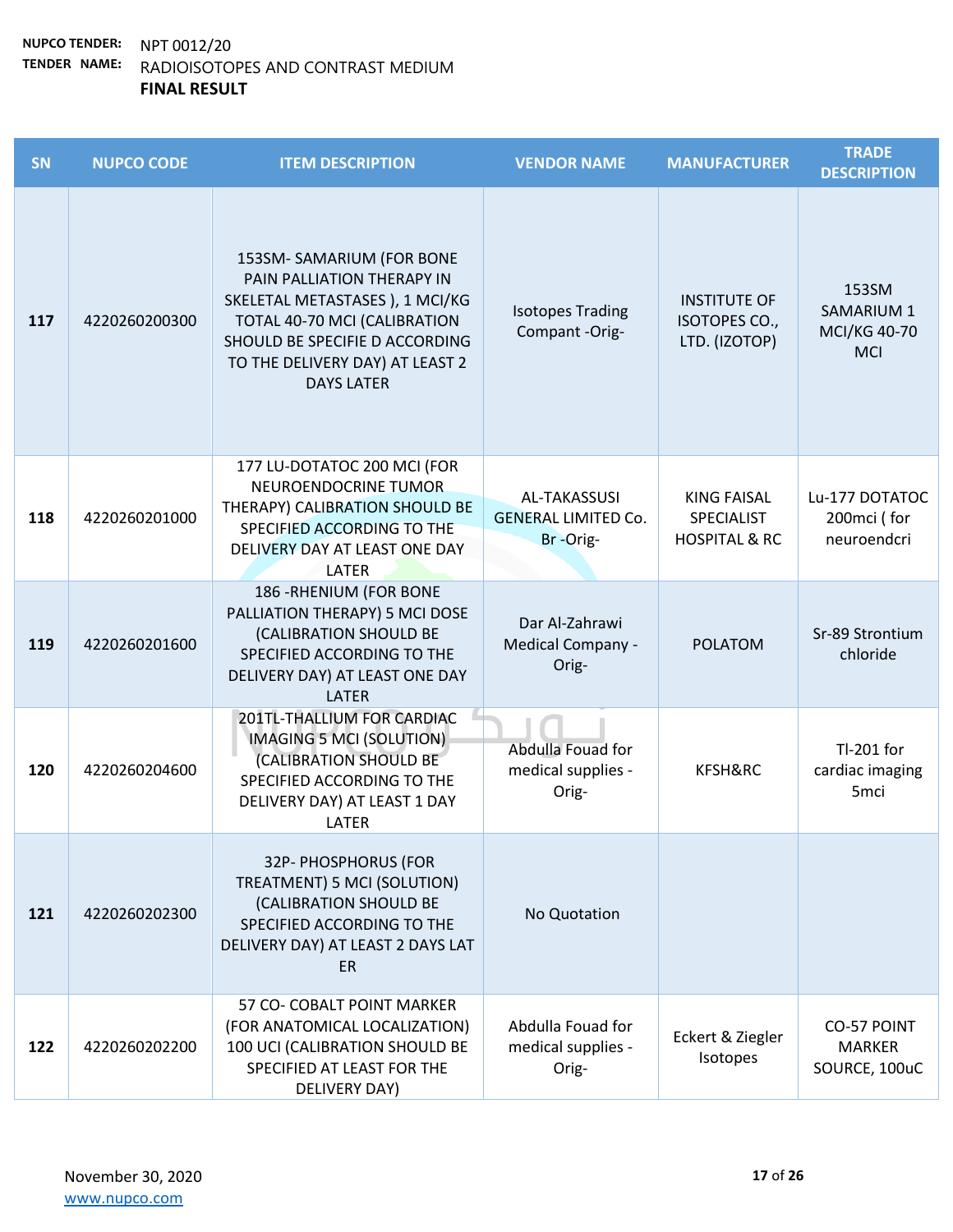| <b>SN</b> | <b>NUPCO CODE</b> | <b>ITEM DESCRIPTION</b>                                                                                                                                                                                             | <b>VENDOR NAME</b>                                            | <b>MANUFACTURER</b>                                          | <b>TRADE</b><br><b>DESCRIPTION</b>                              |
|-----------|-------------------|---------------------------------------------------------------------------------------------------------------------------------------------------------------------------------------------------------------------|---------------------------------------------------------------|--------------------------------------------------------------|-----------------------------------------------------------------|
| 117       | 4220260200300     | 153SM-SAMARIUM (FOR BONE<br>PAIN PALLIATION THERAPY IN<br>SKELETAL METASTASES ), 1 MCI/KG<br>TOTAL 40-70 MCI (CALIBRATION<br>SHOULD BE SPECIFIE D ACCORDING<br>TO THE DELIVERY DAY) AT LEAST 2<br><b>DAYS LATER</b> | <b>Isotopes Trading</b><br>Compant -Orig-                     | <b>INSTITUTE OF</b><br>ISOTOPES CO.,<br>LTD. (IZOTOP)        | 153SM<br><b>SAMARIUM 1</b><br><b>MCI/KG 40-70</b><br><b>MCI</b> |
| 118       | 4220260201000     | 177 LU-DOTATOC 200 MCI (FOR<br>NEUROENDOCRINE TUMOR<br>THERAPY) CALIBRATION SHOULD BE<br>SPECIFIED ACCORDING TO THE<br>DELIVERY DAY AT LEAST ONE DAY<br>LATER                                                       | <b>AL-TAKASSUSI</b><br><b>GENERAL LIMITED Co.</b><br>Br-Orig- | <b>KING FAISAL</b><br>SPECIALIST<br><b>HOSPITAL &amp; RC</b> | Lu-177 DOTATOC<br>200mci (for<br>neuroendcri                    |
| 119       | 4220260201600     | 186 - RHENIUM (FOR BONE<br>PALLIATION THERAPY) 5 MCI DOSE<br>(CALIBRATION SHOULD BE<br>SPECIFIED ACCORDING TO THE<br>DELIVERY DAY) AT LEAST ONE DAY<br><b>LATER</b>                                                 | Dar Al-Zahrawi<br>Medical Company -<br>Orig-                  | <b>POLATOM</b>                                               | Sr-89 Strontium<br>chloride                                     |
| 120       | 4220260204600     | 201TL-THALLIUM FOR CARDIAC<br>IMAGING 5 MCI (SOLUTION)<br>(CALIBRATION SHOULD BE<br>SPECIFIED ACCORDING TO THE<br>DELIVERY DAY) AT LEAST 1 DAY<br>LATER                                                             | Abdulla Fouad for<br>medical supplies -<br>Orig-              | KFSH&RC                                                      | Tl-201 for<br>cardiac imaging<br>5 <sub>mci</sub>               |
| 121       | 4220260202300     | 32P- PHOSPHORUS (FOR<br>TREATMENT) 5 MCI (SOLUTION)<br>(CALIBRATION SHOULD BE<br>SPECIFIED ACCORDING TO THE<br>DELIVERY DAY) AT LEAST 2 DAYS LAT<br><b>ER</b>                                                       | No Quotation                                                  |                                                              |                                                                 |
| 122       | 4220260202200     | 57 CO- COBALT POINT MARKER<br>(FOR ANATOMICAL LOCALIZATION)<br>100 UCI (CALIBRATION SHOULD BE<br>SPECIFIED AT LEAST FOR THE<br>DELIVERY DAY)                                                                        | Abdulla Fouad for<br>medical supplies -<br>Orig-              | Eckert & Ziegler<br>Isotopes                                 | <b>CO-57 POINT</b><br><b>MARKER</b><br>SOURCE, 100uC            |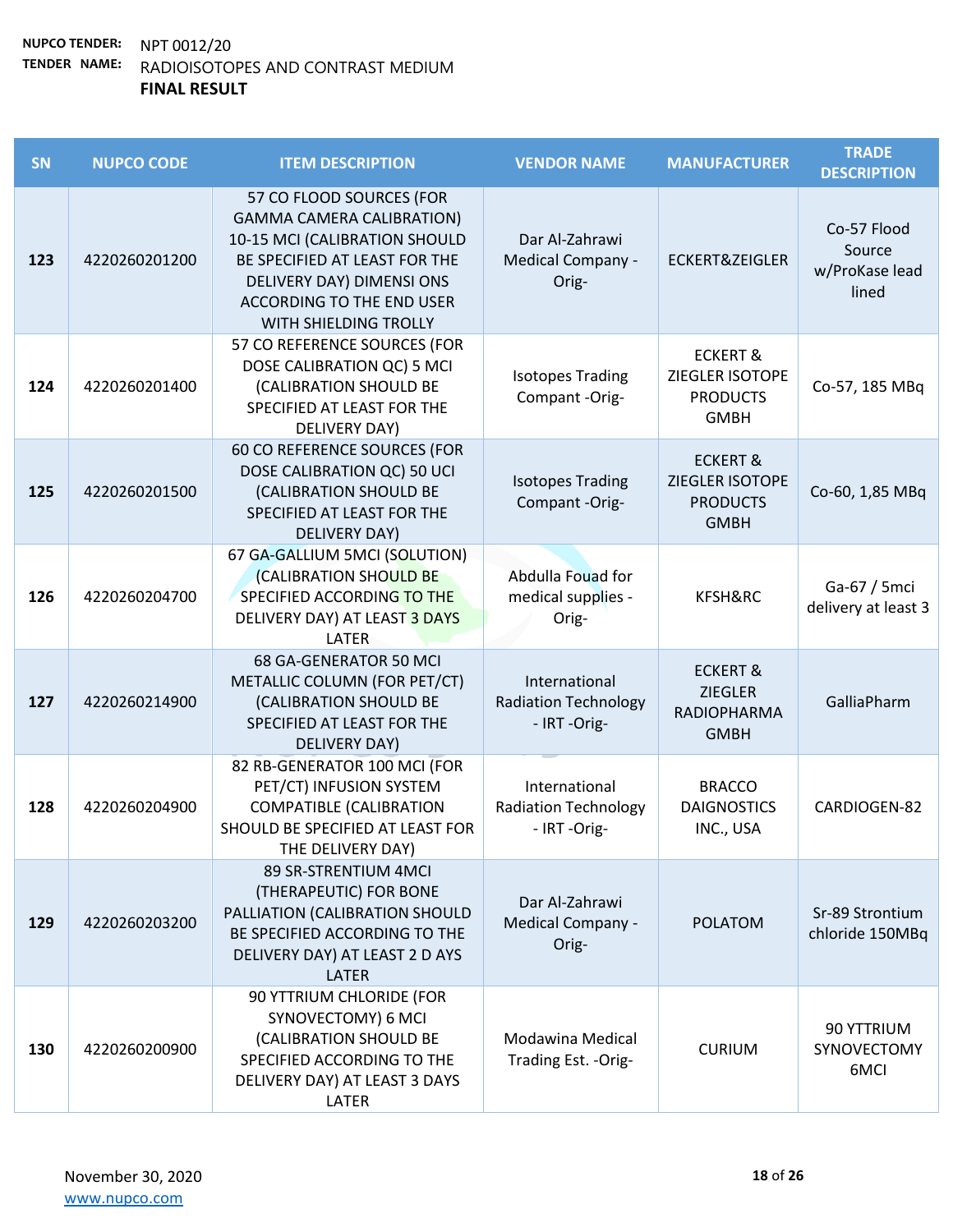| SN  | <b>NUPCO CODE</b> | <b>ITEM DESCRIPTION</b>                                                                                                                                                                                                  | <b>VENDOR NAME</b>                                           | <b>MANUFACTURER</b>                                                        | <b>TRADE</b><br><b>DESCRIPTION</b>               |
|-----|-------------------|--------------------------------------------------------------------------------------------------------------------------------------------------------------------------------------------------------------------------|--------------------------------------------------------------|----------------------------------------------------------------------------|--------------------------------------------------|
| 123 | 4220260201200     | 57 CO FLOOD SOURCES (FOR<br><b>GAMMA CAMERA CALIBRATION)</b><br>10-15 MCI (CALIBRATION SHOULD<br>BE SPECIFIED AT LEAST FOR THE<br>DELIVERY DAY) DIMENSI ONS<br><b>ACCORDING TO THE END USER</b><br>WITH SHIELDING TROLLY | Dar Al-Zahrawi<br>Medical Company -<br>Orig-                 | <b>ECKERT&amp;ZEIGLER</b>                                                  | Co-57 Flood<br>Source<br>w/ProKase lead<br>lined |
| 124 | 4220260201400     | 57 CO REFERENCE SOURCES (FOR<br>DOSE CALIBRATION QC) 5 MCI<br>(CALIBRATION SHOULD BE<br>SPECIFIED AT LEAST FOR THE<br>DELIVERY DAY)                                                                                      | <b>Isotopes Trading</b><br>Compant -Orig-                    | <b>ECKERT &amp;</b><br>ZIEGLER ISOTOPE<br><b>PRODUCTS</b><br><b>GMBH</b>   | Co-57, 185 MBq                                   |
| 125 | 4220260201500     | 60 CO REFERENCE SOURCES (FOR<br>DOSE CALIBRATION QC) 50 UCI<br>(CALIBRATION SHOULD BE<br>SPECIFIED AT LEAST FOR THE<br>DELIVERY DAY)                                                                                     | <b>Isotopes Trading</b><br>Compant -Orig-                    | <b>ECKERT &amp;</b><br>ZIEGLER ISOTOPE<br><b>PRODUCTS</b><br><b>GMBH</b>   | Co-60, 1,85 MBq                                  |
| 126 | 4220260204700     | 67 GA-GALLIUM 5MCI (SOLUTION)<br>(CALIBRATION SHOULD BE<br>SPECIFIED ACCORDING TO THE<br>DELIVERY DAY) AT LEAST 3 DAYS<br>LATER                                                                                          | Abdulla Fouad for<br>medical supplies -<br>Orig-             | KFSH&RC                                                                    | Ga-67 / 5mci<br>delivery at least 3              |
| 127 | 4220260214900     | 68 GA-GENERATOR 50 MCI<br>METALLIC COLUMN (FOR PET/CT)<br>(CALIBRATION SHOULD BE<br>SPECIFIED AT LEAST FOR THE<br><b>DELIVERY DAY)</b>                                                                                   | International<br><b>Radiation Technology</b><br>- IRT -Orig- | <b>ECKERT &amp;</b><br><b>ZIEGLER</b><br><b>RADIOPHARMA</b><br><b>GMBH</b> | GalliaPharm                                      |
| 128 | 4220260204900     | 82 RB-GENERATOR 100 MCI (FOR<br>PET/CT) INFUSION SYSTEM<br><b>COMPATIBLE (CALIBRATION</b><br>SHOULD BE SPECIFIED AT LEAST FOR<br>THE DELIVERY DAY)                                                                       | International<br><b>Radiation Technology</b><br>- IRT -Orig- | <b>BRACCO</b><br><b>DAIGNOSTICS</b><br>INC., USA                           | CARDIOGEN-82                                     |
| 129 | 4220260203200     | 89 SR-STRENTIUM 4MCI<br>(THERAPEUTIC) FOR BONE<br>PALLIATION (CALIBRATION SHOULD<br>BE SPECIFIED ACCORDING TO THE<br>DELIVERY DAY) AT LEAST 2 D AYS<br><b>LATER</b>                                                      | Dar Al-Zahrawi<br><b>Medical Company -</b><br>Orig-          | <b>POLATOM</b>                                                             | Sr-89 Strontium<br>chloride 150MBq               |
| 130 | 4220260200900     | 90 YTTRIUM CHLORIDE (FOR<br>SYNOVECTOMY) 6 MCI<br>(CALIBRATION SHOULD BE<br>SPECIFIED ACCORDING TO THE<br>DELIVERY DAY) AT LEAST 3 DAYS<br>LATER                                                                         | Modawina Medical<br>Trading Est. - Orig-                     | <b>CURIUM</b>                                                              | 90 YTTRIUM<br>SYNOVECTOMY<br>6MCI                |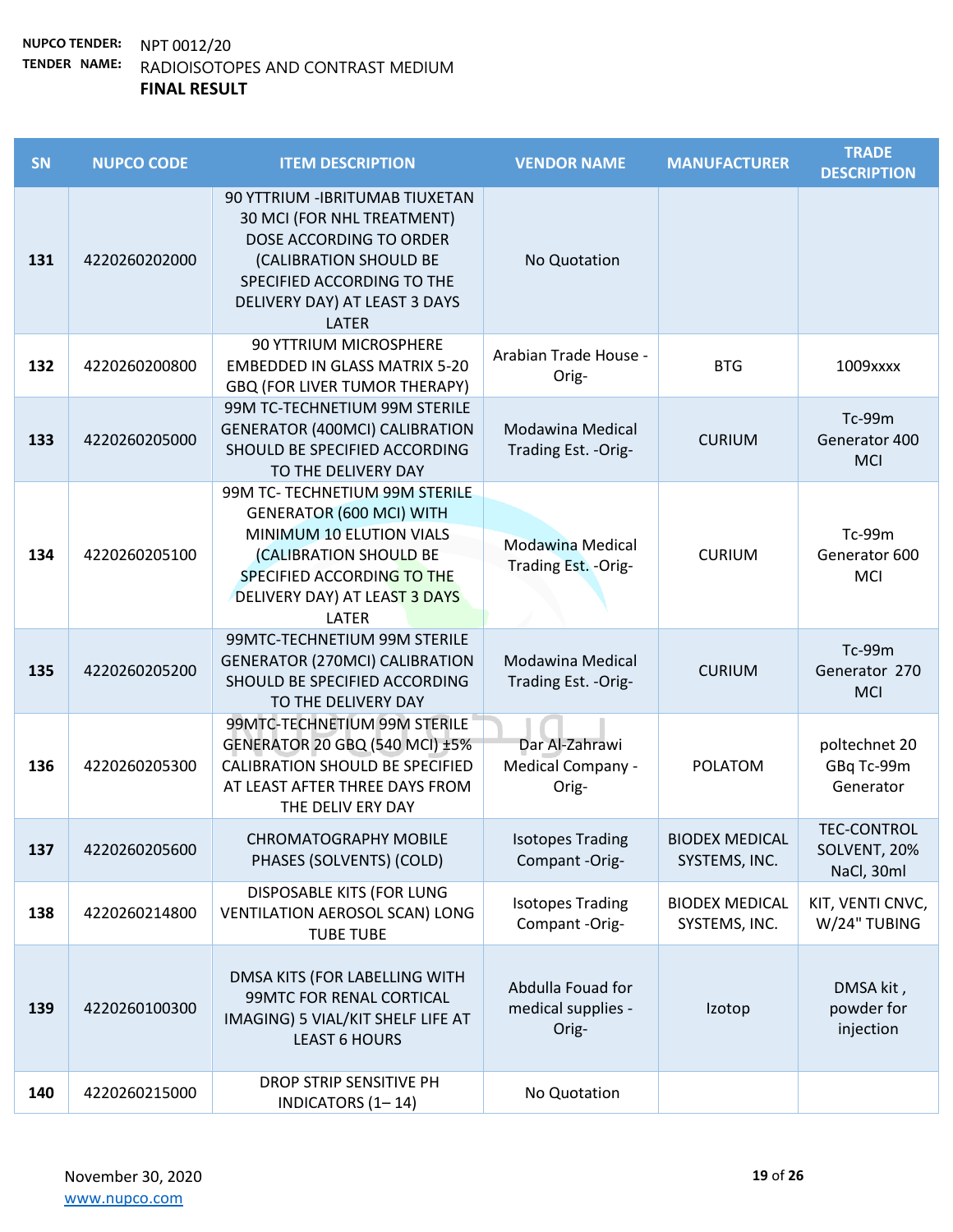| SN  | <b>NUPCO CODE</b> | <b>ITEM DESCRIPTION</b>                                                                                                                                                                                | <b>VENDOR NAME</b>                               | <b>MANUFACTURER</b>                    | <b>TRADE</b><br><b>DESCRIPTION</b>               |
|-----|-------------------|--------------------------------------------------------------------------------------------------------------------------------------------------------------------------------------------------------|--------------------------------------------------|----------------------------------------|--------------------------------------------------|
| 131 | 4220260202000     | 90 YTTRIUM - IBRITUMAB TIUXETAN<br>30 MCI (FOR NHL TREATMENT)<br>DOSE ACCORDING TO ORDER<br>(CALIBRATION SHOULD BE<br>SPECIFIED ACCORDING TO THE<br>DELIVERY DAY) AT LEAST 3 DAYS<br><b>LATER</b>      | No Quotation                                     |                                        |                                                  |
| 132 | 4220260200800     | <b>90 YTTRIUM MICROSPHERE</b><br><b>EMBEDDED IN GLASS MATRIX 5-20</b><br>GBQ (FOR LIVER TUMOR THERAPY)                                                                                                 | Arabian Trade House -<br>Orig-                   | <b>BTG</b>                             | 1009xxxx                                         |
| 133 | 4220260205000     | 99M TC-TECHNETIUM 99M STERILE<br><b>GENERATOR (400MCI) CALIBRATION</b><br>SHOULD BE SPECIFIED ACCORDING<br>TO THE DELIVERY DAY                                                                         | Modawina Medical<br>Trading Est. - Orig-         | <b>CURIUM</b>                          | Tc-99m<br>Generator 400<br><b>MCI</b>            |
| 134 | 4220260205100     | 99M TC- TECHNETIUM 99M STERILE<br><b>GENERATOR (600 MCI) WITH</b><br>MINIMUM 10 ELUTION VIALS<br>(CALIBRATION SHOULD BE<br>SPECIFIED ACCORDING TO THE<br>DELIVERY DAY) AT LEAST 3 DAYS<br><b>LATER</b> | <b>Modawina Medical</b><br>Trading Est. - Orig-  | <b>CURIUM</b>                          | Tc-99m<br>Generator 600<br><b>MCI</b>            |
| 135 | 4220260205200     | 99MTC-TECHNETIUM 99M STERILE<br><b>GENERATOR (270MCI) CALIBRATION</b><br>SHOULD BE SPECIFIED ACCORDING<br>TO THE DELIVERY DAY                                                                          | Modawina Medical<br>Trading Est. - Orig-         | <b>CURIUM</b>                          | Tc-99m<br>Generator 270<br><b>MCI</b>            |
| 136 | 4220260205300     | 99MTC-TECHNETIUM 99M STERILE<br><b>GENERATOR 20 GBQ (540 MCI) ±5%</b><br><b>CALIBRATION SHOULD BE SPECIFIED</b><br>AT LEAST AFTER THREE DAYS FROM<br>THE DELIV ERY DAY                                 | Dar Al-Zahrawi<br>Medical Company -<br>Orig-     | <b>POLATOM</b>                         | poltechnet 20<br>GBq Tc-99m<br>Generator         |
| 137 | 4220260205600     | <b>CHROMATOGRAPHY MOBILE</b><br>PHASES (SOLVENTS) (COLD)                                                                                                                                               | <b>Isotopes Trading</b><br>Compant -Orig-        | <b>BIODEX MEDICAL</b><br>SYSTEMS, INC. | <b>TEC-CONTROL</b><br>SOLVENT, 20%<br>NaCl, 30ml |
| 138 | 4220260214800     | DISPOSABLE KITS (FOR LUNG<br><b>VENTILATION AEROSOL SCAN) LONG</b><br><b>TUBE TUBE</b>                                                                                                                 | <b>Isotopes Trading</b><br>Compant -Orig-        | <b>BIODEX MEDICAL</b><br>SYSTEMS, INC. | KIT, VENTI CNVC,<br>W/24" TUBING                 |
| 139 | 4220260100300     | DMSA KITS (FOR LABELLING WITH<br>99MTC FOR RENAL CORTICAL<br>IMAGING) 5 VIAL/KIT SHELF LIFE AT<br><b>LEAST 6 HOURS</b>                                                                                 | Abdulla Fouad for<br>medical supplies -<br>Orig- | Izotop                                 | DMSA kit,<br>powder for<br>injection             |
| 140 | 4220260215000     | DROP STRIP SENSITIVE PH<br>INDICATORS (1-14)                                                                                                                                                           | No Quotation                                     |                                        |                                                  |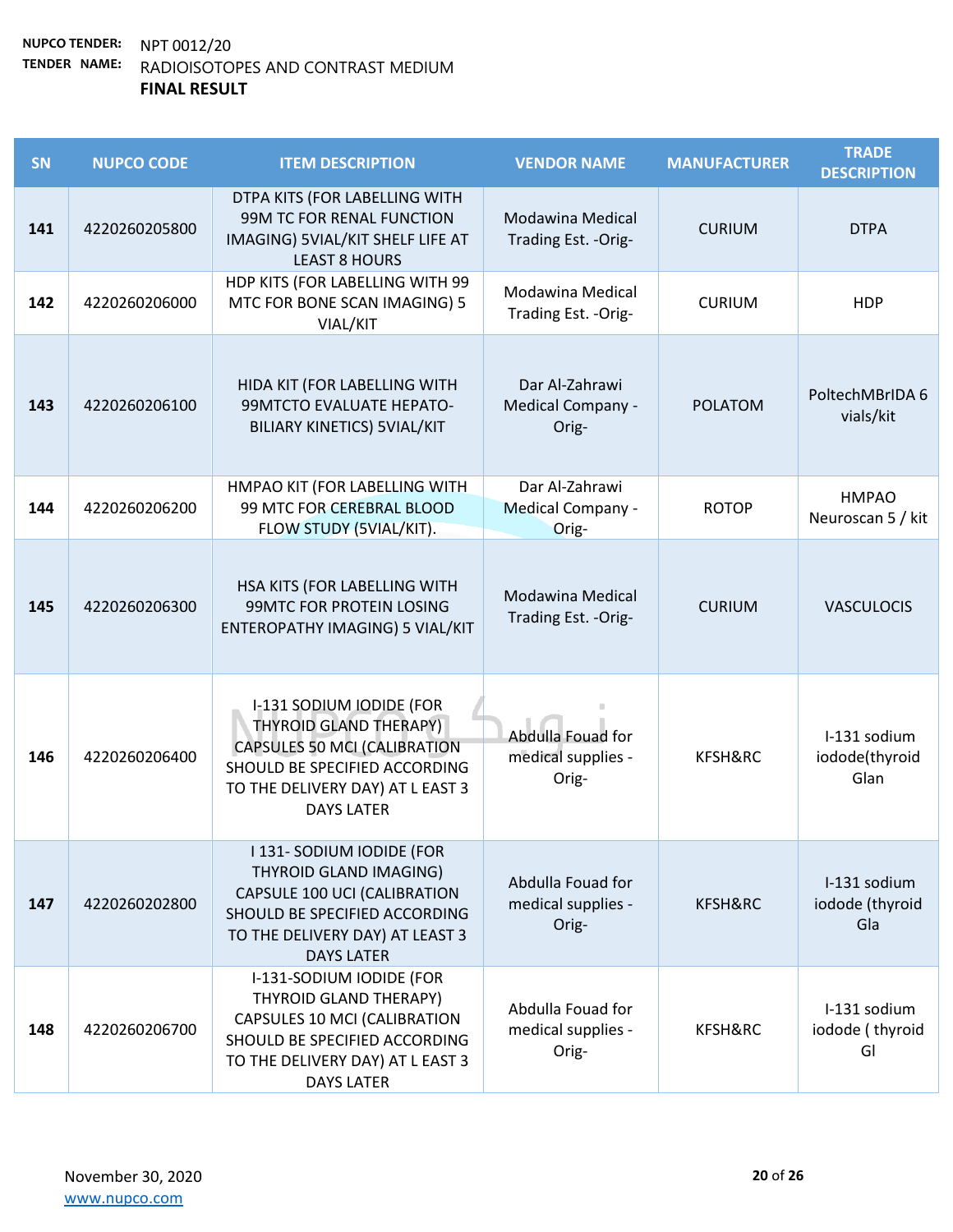| <b>SN</b> | <b>NUPCO CODE</b> | <b>ITEM DESCRIPTION</b>                                                                                                                                                                    | <b>VENDOR NAME</b>                                  | <b>MANUFACTURER</b> | <b>TRADE</b><br><b>DESCRIPTION</b>     |
|-----------|-------------------|--------------------------------------------------------------------------------------------------------------------------------------------------------------------------------------------|-----------------------------------------------------|---------------------|----------------------------------------|
| 141       | 4220260205800     | DTPA KITS (FOR LABELLING WITH<br>99M TC FOR RENAL FUNCTION<br>IMAGING) 5VIAL/KIT SHELF LIFE AT<br><b>LEAST 8 HOURS</b>                                                                     | Modawina Medical<br>Trading Est. - Orig-            | <b>CURIUM</b>       | <b>DTPA</b>                            |
| 142       | 4220260206000     | HDP KITS (FOR LABELLING WITH 99<br>MTC FOR BONE SCAN IMAGING) 5<br>VIAL/KIT                                                                                                                | Modawina Medical<br>Trading Est. - Orig-            | <b>CURIUM</b>       | <b>HDP</b>                             |
| 143       | 4220260206100     | HIDA KIT (FOR LABELLING WITH<br>99MTCTO EVALUATE HEPATO-<br><b>BILIARY KINETICS) 5VIAL/KIT</b>                                                                                             | Dar Al-Zahrawi<br><b>Medical Company -</b><br>Orig- | <b>POLATOM</b>      | PoltechMBrIDA 6<br>vials/kit           |
| 144       | 4220260206200     | HMPAO KIT (FOR LABELLING WITH<br>99 MTC FOR CEREBRAL BLOOD<br>FLOW STUDY (5VIAL/KIT).                                                                                                      | Dar Al-Zahrawi<br>Medical Company -<br>Orig-        | <b>ROTOP</b>        | <b>HMPAO</b><br>Neuroscan 5 / kit      |
| 145       | 4220260206300     | HSA KITS (FOR LABELLING WITH<br>99MTC FOR PROTEIN LOSING<br>ENTEROPATHY IMAGING) 5 VIAL/KIT                                                                                                | Modawina Medical<br>Trading Est. - Orig-            | <b>CURIUM</b>       | <b>VASCULOCIS</b>                      |
| 146       | 4220260206400     | I-131 SODIUM IODIDE (FOR<br><b>THYROID GLAND THERAPY)</b><br><b>CAPSULES 50 MCI (CALIBRATION</b><br>SHOULD BE SPECIFIED ACCORDING<br>TO THE DELIVERY DAY) AT L EAST 3<br><b>DAYS LATER</b> | Abdulla Fouad for<br>medical supplies -<br>Orig-    | KFSH&RC             | I-131 sodium<br>iodode(thyroid<br>Glan |
| 147       | 4220260202800     | I 131- SODIUM IODIDE (FOR<br>THYROID GLAND IMAGING)<br>CAPSULE 100 UCI (CALIBRATION<br>SHOULD BE SPECIFIED ACCORDING<br>TO THE DELIVERY DAY) AT LEAST 3<br><b>DAYS LATER</b>               | Abdulla Fouad for<br>medical supplies -<br>Orig-    | KFSH&RC             | I-131 sodium<br>iodode (thyroid<br>Gla |
| 148       | 4220260206700     | I-131-SODIUM IODIDE (FOR<br>THYROID GLAND THERAPY)<br>CAPSULES 10 MCI (CALIBRATION<br>SHOULD BE SPECIFIED ACCORDING<br>TO THE DELIVERY DAY) AT L EAST 3<br><b>DAYS LATER</b>               | Abdulla Fouad for<br>medical supplies -<br>Orig-    | KFSH&RC             | I-131 sodium<br>iodode (thyroid<br>GI  |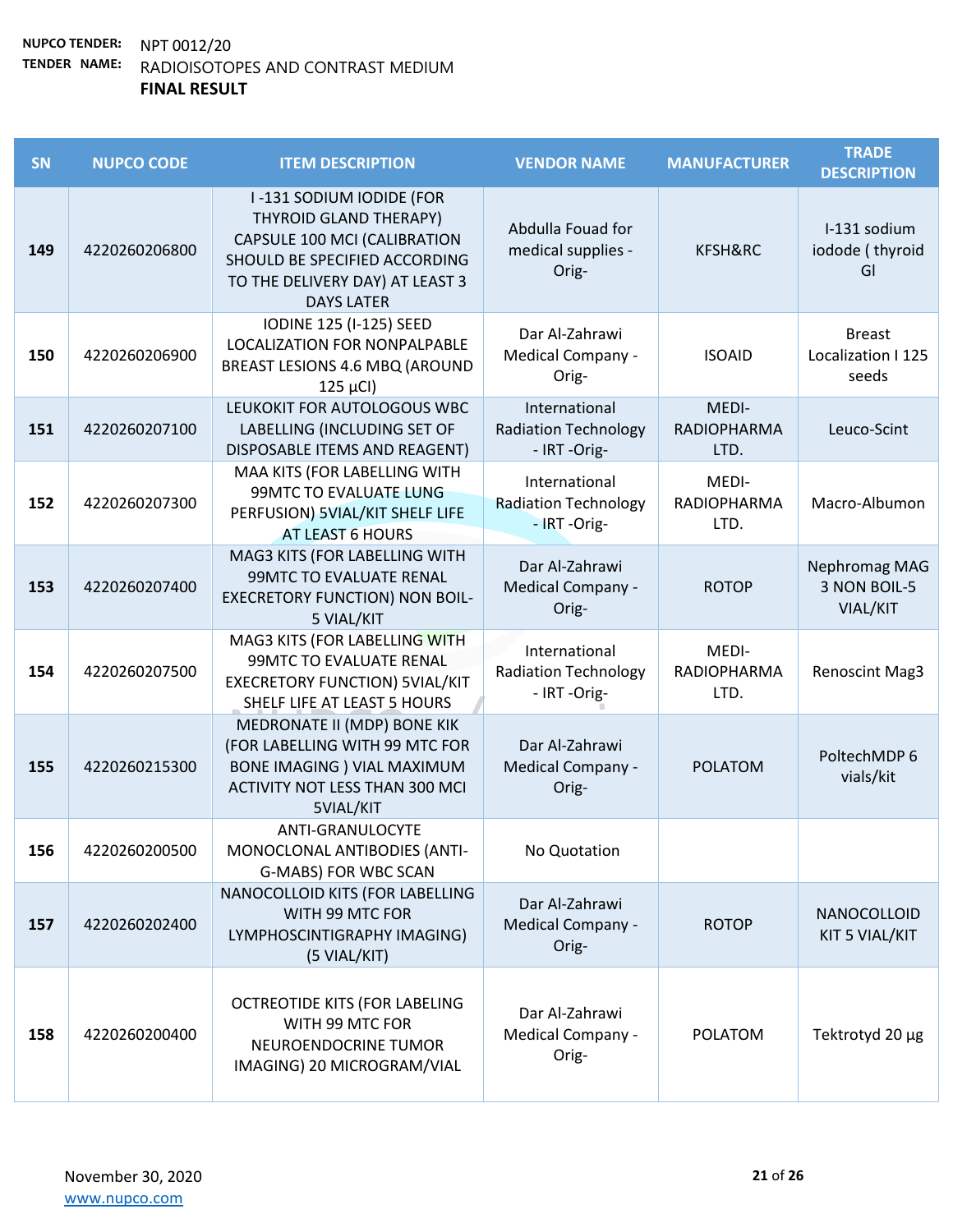| SN  | <b>NUPCO CODE</b> | <b>ITEM DESCRIPTION</b>                                                                                                                                                     | <b>VENDOR NAME</b>                                           | <b>MANUFACTURER</b>                 | <b>TRADE</b><br><b>DESCRIPTION</b>           |
|-----|-------------------|-----------------------------------------------------------------------------------------------------------------------------------------------------------------------------|--------------------------------------------------------------|-------------------------------------|----------------------------------------------|
| 149 | 4220260206800     | I-131 SODIUM IODIDE (FOR<br>THYROID GLAND THERAPY)<br>CAPSULE 100 MCI (CALIBRATION<br>SHOULD BE SPECIFIED ACCORDING<br>TO THE DELIVERY DAY) AT LEAST 3<br><b>DAYS LATER</b> | Abdulla Fouad for<br>medical supplies -<br>Orig-             | KFSH&RC                             | I-131 sodium<br>iodode (thyroid<br>GI        |
| 150 | 4220260206900     | <b>IODINE 125 (I-125) SEED</b><br>LOCALIZATION FOR NONPALPABLE<br>BREAST LESIONS 4.6 MBQ (AROUND<br>$125 \mu Cl$                                                            | Dar Al-Zahrawi<br>Medical Company -<br>Orig-                 | <b>ISOAID</b>                       | <b>Breast</b><br>Localization I 125<br>seeds |
| 151 | 4220260207100     | LEUKOKIT FOR AUTOLOGOUS WBC<br>LABELLING (INCLUDING SET OF<br>DISPOSABLE ITEMS AND REAGENT)                                                                                 | International<br><b>Radiation Technology</b><br>- IRT -Orig- | MEDI-<br><b>RADIOPHARMA</b><br>LTD. | Leuco-Scint                                  |
| 152 | 4220260207300     | MAA KITS (FOR LABELLING WITH<br><b>99MTC TO EVALUATE LUNG</b><br>PERFUSION) 5VIAL/KIT SHELF LIFE<br><b>AT LEAST 6 HOURS</b>                                                 | International<br><b>Radiation Technology</b><br>- IRT-Orig-  | MEDI-<br><b>RADIOPHARMA</b><br>LTD. | Macro-Albumon                                |
| 153 | 4220260207400     | MAG3 KITS (FOR LABELLING WITH<br>99MTC TO EVALUATE RENAL<br><b>EXECRETORY FUNCTION) NON BOIL-</b><br>5 VIAL/KIT                                                             | Dar Al-Zahrawi<br>Medical Company -<br>Orig-                 | <b>ROTOP</b>                        | Nephromag MAG<br>3 NON BOIL-5<br>VIAL/KIT    |
| 154 | 4220260207500     | MAG3 KITS (FOR LABELLING WITH<br>99MTC TO EVALUATE RENAL<br><b>EXECRETORY FUNCTION) 5VIAL/KIT</b><br>SHELF LIFE AT LEAST 5 HOURS                                            | International<br><b>Radiation Technology</b><br>- IRT -Orig- | MEDI-<br>RADIOPHARMA<br>LTD.        | <b>Renoscint Mag3</b>                        |
| 155 | 4220260215300     | MEDRONATE II (MDP) BONE KIK<br>(FOR LABELLING WITH 99 MTC FOR<br><b>BONE IMAGING ) VIAL MAXIMUM</b><br>ACTIVITY NOT LESS THAN 300 MCI<br>5VIAL/KIT                          | Dar Al-Zahrawi<br>Medical Company -<br>Orig-                 | <b>POLATOM</b>                      | PoltechMDP 6<br>vials/kit                    |
| 156 | 4220260200500     | ANTI-GRANULOCYTE<br>MONOCLONAL ANTIBODIES (ANTI-<br>G-MABS) FOR WBC SCAN                                                                                                    | No Quotation                                                 |                                     |                                              |
| 157 | 4220260202400     | NANOCOLLOID KITS (FOR LABELLING<br>WITH 99 MTC FOR<br>LYMPHOSCINTIGRAPHY IMAGING)<br>(5 VIAL/KIT)                                                                           | Dar Al-Zahrawi<br>Medical Company -<br>Orig-                 | <b>ROTOP</b>                        | NANOCOLLOID<br>KIT 5 VIAL/KIT                |
| 158 | 4220260200400     | OCTREOTIDE KITS (FOR LABELING<br>WITH 99 MTC FOR<br>NEUROENDOCRINE TUMOR<br>IMAGING) 20 MICROGRAM/VIAL                                                                      | Dar Al-Zahrawi<br>Medical Company -<br>Orig-                 | <b>POLATOM</b>                      | Tektrotyd 20 µg                              |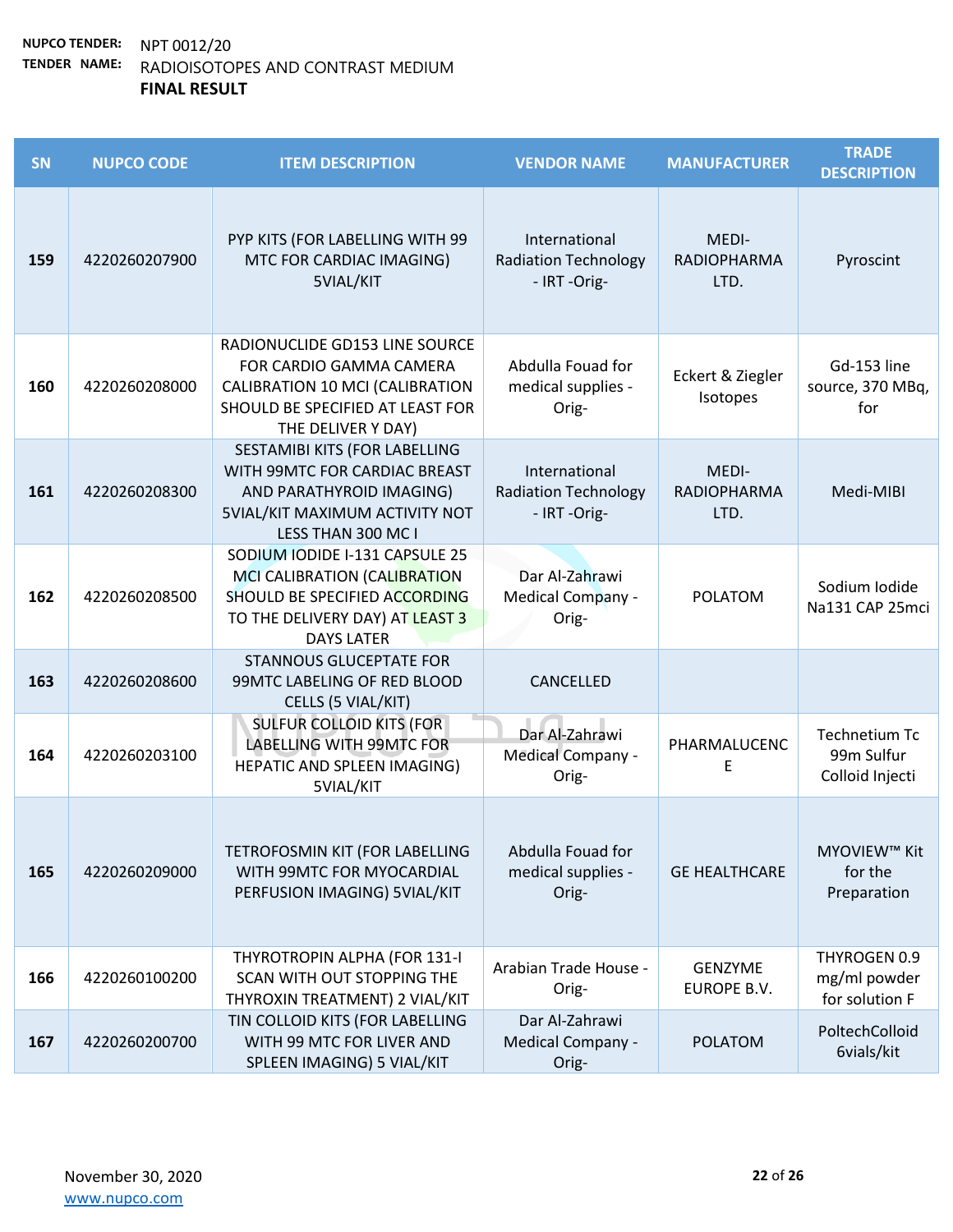| SN  | <b>NUPCO CODE</b> | <b>ITEM DESCRIPTION</b>                                                                                                                                   | <b>VENDOR NAME</b>                                           | <b>MANUFACTURER</b>                 | <b>TRADE</b><br><b>DESCRIPTION</b>                    |
|-----|-------------------|-----------------------------------------------------------------------------------------------------------------------------------------------------------|--------------------------------------------------------------|-------------------------------------|-------------------------------------------------------|
| 159 | 4220260207900     | PYP KITS (FOR LABELLING WITH 99<br>MTC FOR CARDIAC IMAGING)<br>5VIAL/KIT                                                                                  | International<br><b>Radiation Technology</b><br>- IRT-Orig-  | MEDI-<br><b>RADIOPHARMA</b><br>LTD. | Pyroscint                                             |
| 160 | 4220260208000     | RADIONUCLIDE GD153 LINE SOURCE<br>FOR CARDIO GAMMA CAMERA<br>CALIBRATION 10 MCI (CALIBRATION<br>SHOULD BE SPECIFIED AT LEAST FOR<br>THE DELIVER Y DAY)    | Abdulla Fouad for<br>medical supplies -<br>Orig-             | Eckert & Ziegler<br>Isotopes        | Gd-153 line<br>source, 370 MBq,<br>for                |
| 161 | 4220260208300     | SESTAMIBI KITS (FOR LABELLING<br>WITH 99MTC FOR CARDIAC BREAST<br>AND PARATHYROID IMAGING)<br><b>5VIAL/KIT MAXIMUM ACTIVITY NOT</b><br>LESS THAN 300 MC I | International<br><b>Radiation Technology</b><br>- IRT -Orig- | MEDI-<br><b>RADIOPHARMA</b><br>LTD. | Medi-MIBI                                             |
| 162 | 4220260208500     | SODIUM IODIDE I-131 CAPSULE 25<br>MCI CALIBRATION (CALIBRATION<br>SHOULD BE SPECIFIED ACCORDING<br>TO THE DELIVERY DAY) AT LEAST 3<br><b>DAYS LATER</b>   | Dar Al-Zahrawi<br>Medical Company -<br>Orig-                 | <b>POLATOM</b>                      | Sodium Iodide<br>Na131 CAP 25mci                      |
| 163 | 4220260208600     | <b>STANNOUS GLUCEPTATE FOR</b><br>99MTC LABELING OF RED BLOOD<br>CELLS (5 VIAL/KIT)                                                                       | CANCELLED                                                    |                                     |                                                       |
| 164 | 4220260203100     | <b>SULFUR COLLOID KITS (FOR</b><br><b>LABELLING WITH 99MTC FOR</b><br>HEPATIC AND SPLEEN IMAGING)<br>5VIAL/KIT                                            | Dar Al-Zahrawi<br>Medical Company -<br>Orig-                 | PHARMALUCENC<br>E                   | <b>Technetium Tc</b><br>99m Sulfur<br>Colloid Injecti |
| 165 | 4220260209000     | TETROFOSMIN KIT (FOR LABELLING<br>WITH 99MTC FOR MYOCARDIAL<br>PERFUSION IMAGING) 5VIAL/KIT                                                               | Abdulla Fouad for<br>medical supplies -<br>Orig-             | <b>GE HEALTHCARE</b>                | MYOVIEW™ Kit<br>for the<br>Preparation                |
| 166 | 4220260100200     | THYROTROPIN ALPHA (FOR 131-I<br>SCAN WITH OUT STOPPING THE<br>THYROXIN TREATMENT) 2 VIAL/KIT                                                              | Arabian Trade House -<br>Orig-                               | GENZYME<br>EUROPE B.V.              | THYROGEN 0.9<br>mg/ml powder<br>for solution F        |
| 167 | 4220260200700     | TIN COLLOID KITS (FOR LABELLING<br>WITH 99 MTC FOR LIVER AND<br>SPLEEN IMAGING) 5 VIAL/KIT                                                                | Dar Al-Zahrawi<br>Medical Company -<br>Orig-                 | <b>POLATOM</b>                      | PoltechColloid<br>6vials/kit                          |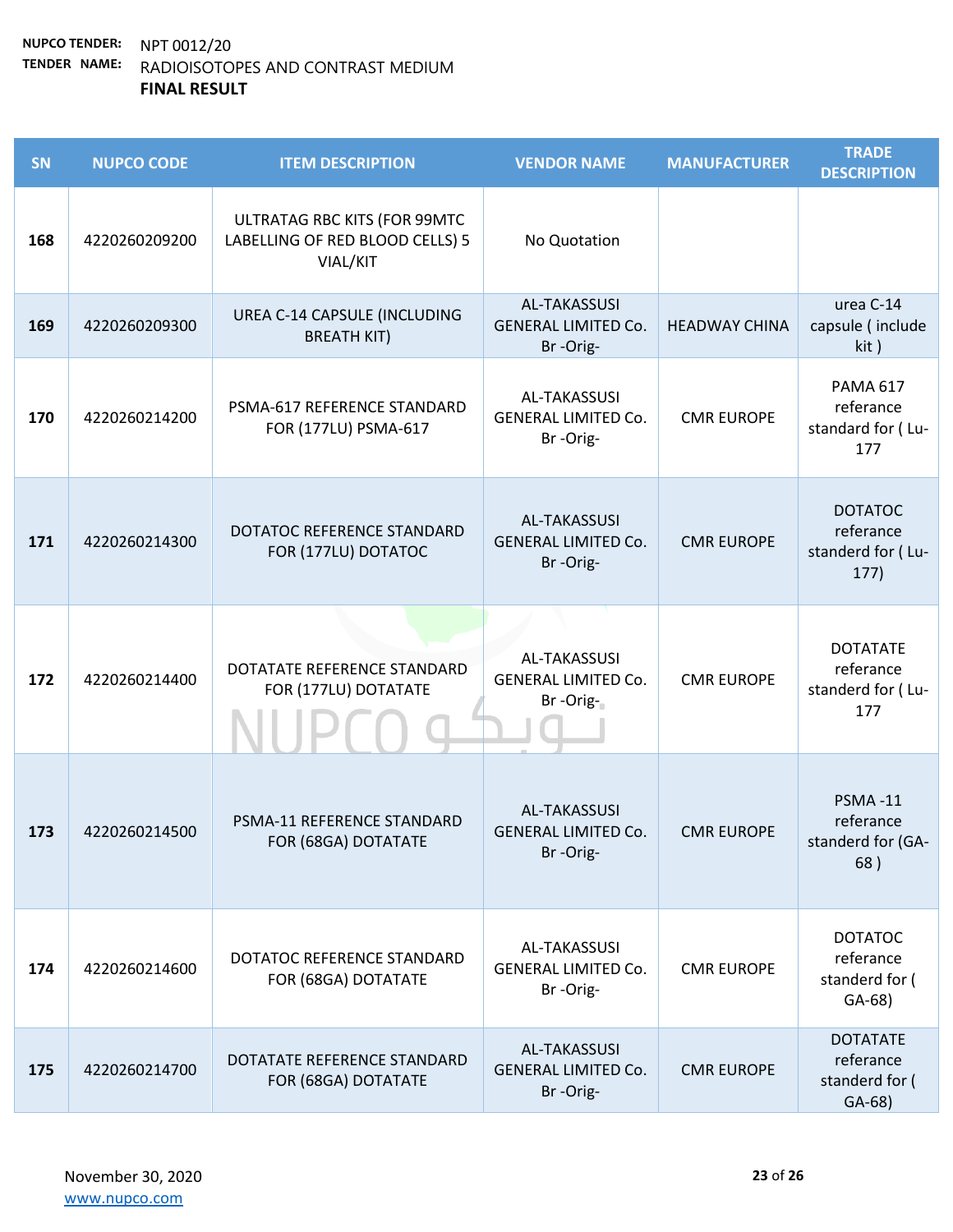| SN  | <b>NUPCO CODE</b> | <b>ITEM DESCRIPTION</b>                                                     | <b>VENDOR NAME</b>                                            | <b>MANUFACTURER</b>  | <b>TRADE</b><br><b>DESCRIPTION</b>                         |
|-----|-------------------|-----------------------------------------------------------------------------|---------------------------------------------------------------|----------------------|------------------------------------------------------------|
| 168 | 4220260209200     | ULTRATAG RBC KITS (FOR 99MTC<br>LABELLING OF RED BLOOD CELLS) 5<br>VIAL/KIT | No Quotation                                                  |                      |                                                            |
| 169 | 4220260209300     | UREA C-14 CAPSULE (INCLUDING<br><b>BREATH KIT)</b>                          | <b>AL-TAKASSUSI</b><br><b>GENERAL LIMITED Co.</b><br>Br-Orig- | <b>HEADWAY CHINA</b> | urea C-14<br>capsule (include<br>kit)                      |
| 170 | 4220260214200     | PSMA-617 REFERENCE STANDARD<br>FOR (177LU) PSMA-617                         | AL-TAKASSUSI<br><b>GENERAL LIMITED Co.</b><br>Br-Orig-        | <b>CMR EUROPE</b>    | <b>PAMA 617</b><br>referance<br>standard for (Lu-<br>177   |
| 171 | 4220260214300     | DOTATOC REFERENCE STANDARD<br>FOR (177LU) DOTATOC                           | <b>AL-TAKASSUSI</b><br><b>GENERAL LIMITED Co.</b><br>Br-Orig- | <b>CMR EUROPE</b>    | <b>DOTATOC</b><br>referance<br>standerd for (Lu-<br>177)   |
| 172 | 4220260214400     | DOTATATE REFERENCE STANDARD<br>FOR (177LU) DOTATATE                         | <b>AL-TAKASSUSI</b><br><b>GENERAL LIMITED Co.</b><br>Br-Orig- | <b>CMR EUROPE</b>    | <b>DOTATATE</b><br>referance<br>standerd for (Lu-<br>177   |
| 173 | 4220260214500     | PSMA-11 REFERENCE STANDARD<br>FOR (68GA) DOTATATE                           | <b>AL-TAKASSUSI</b><br><b>GENERAL LIMITED Co.</b><br>Br-Orig- | <b>CMR EUROPE</b>    | <b>PSMA-11</b><br>referance<br>standerd for (GA-<br>68)    |
| 174 | 4220260214600     | DOTATOC REFERENCE STANDARD<br>FOR (68GA) DOTATATE                           | AL-TAKASSUSI<br><b>GENERAL LIMITED Co.</b><br>Br-Orig-        | <b>CMR EUROPE</b>    | <b>DOTATOC</b><br>referance<br>standerd for (<br>$GA-68)$  |
| 175 | 4220260214700     | DOTATATE REFERENCE STANDARD<br>FOR (68GA) DOTATATE                          | <b>AL-TAKASSUSI</b><br><b>GENERAL LIMITED Co.</b><br>Br-Orig- | <b>CMR EUROPE</b>    | <b>DOTATATE</b><br>referance<br>standerd for (<br>$GA-68)$ |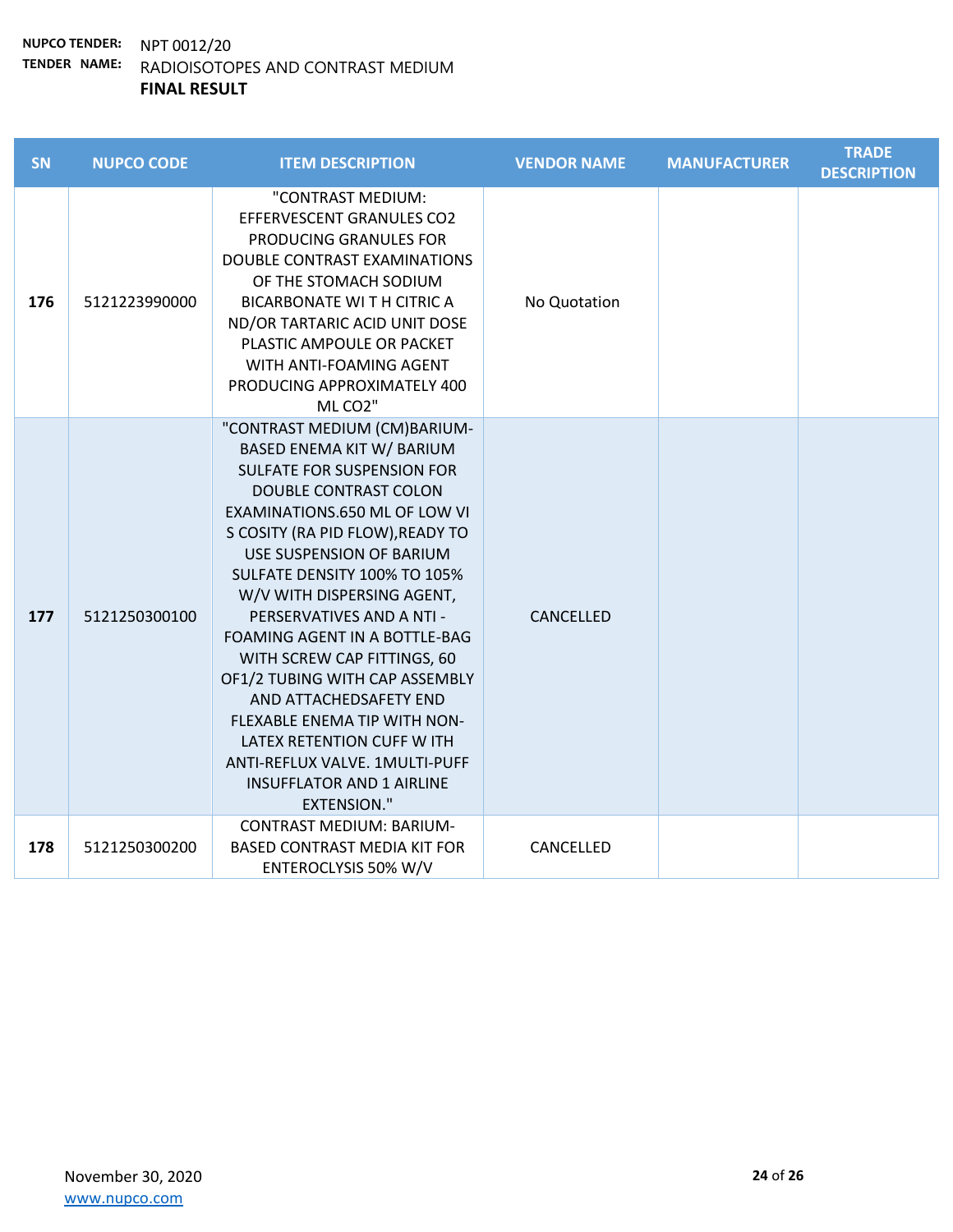| SN  | <b>NUPCO CODE</b> | <b>ITEM DESCRIPTION</b>                                                                                                                                                                                                                                                                                                                                                                                                                                                                                                                                                                                          | <b>VENDOR NAME</b> | <b>MANUFACTURER</b> | <b>TRADE</b><br><b>DESCRIPTION</b> |
|-----|-------------------|------------------------------------------------------------------------------------------------------------------------------------------------------------------------------------------------------------------------------------------------------------------------------------------------------------------------------------------------------------------------------------------------------------------------------------------------------------------------------------------------------------------------------------------------------------------------------------------------------------------|--------------------|---------------------|------------------------------------|
| 176 | 5121223990000     | "CONTRAST MEDIUM:<br><b>EFFERVESCENT GRANULES CO2</b><br>PRODUCING GRANULES FOR<br>DOUBLE CONTRAST EXAMINATIONS<br>OF THE STOMACH SODIUM<br><b>BICARBONATE WITH CITRICA</b><br>ND/OR TARTARIC ACID UNIT DOSE<br>PLASTIC AMPOULE OR PACKET<br>WITH ANTI-FOAMING AGENT<br>PRODUCING APPROXIMATELY 400<br>MLCO <sub>2"</sub>                                                                                                                                                                                                                                                                                        | No Quotation       |                     |                                    |
| 177 | 5121250300100     | "CONTRAST MEDIUM (CM)BARIUM-<br>BASED ENEMA KIT W/ BARIUM<br><b>SULFATE FOR SUSPENSION FOR</b><br><b>DOUBLE CONTRAST COLON</b><br>EXAMINATIONS.650 ML OF LOW VI<br>S COSITY (RA PID FLOW), READY TO<br>USE SUSPENSION OF BARIUM<br>SULFATE DENSITY 100% TO 105%<br>W/V WITH DISPERSING AGENT,<br>PERSERVATIVES AND A NTI -<br>FOAMING AGENT IN A BOTTLE-BAG<br>WITH SCREW CAP FITTINGS, 60<br>OF1/2 TUBING WITH CAP ASSEMBLY<br>AND ATTACHEDSAFETY END<br>FLEXABLE ENEMA TIP WITH NON-<br>LATEX RETENTION CUFF W ITH<br>ANTI-REFLUX VALVE. 1MULTI-PUFF<br><b>INSUFFLATOR AND 1 AIRLINE</b><br><b>EXTENSION."</b> | CANCELLED          |                     |                                    |
| 178 | 5121250300200     | <b>CONTRAST MEDIUM: BARIUM-</b><br><b>BASED CONTRAST MEDIA KIT FOR</b><br>ENTEROCLYSIS 50% W/V                                                                                                                                                                                                                                                                                                                                                                                                                                                                                                                   | CANCELLED          |                     |                                    |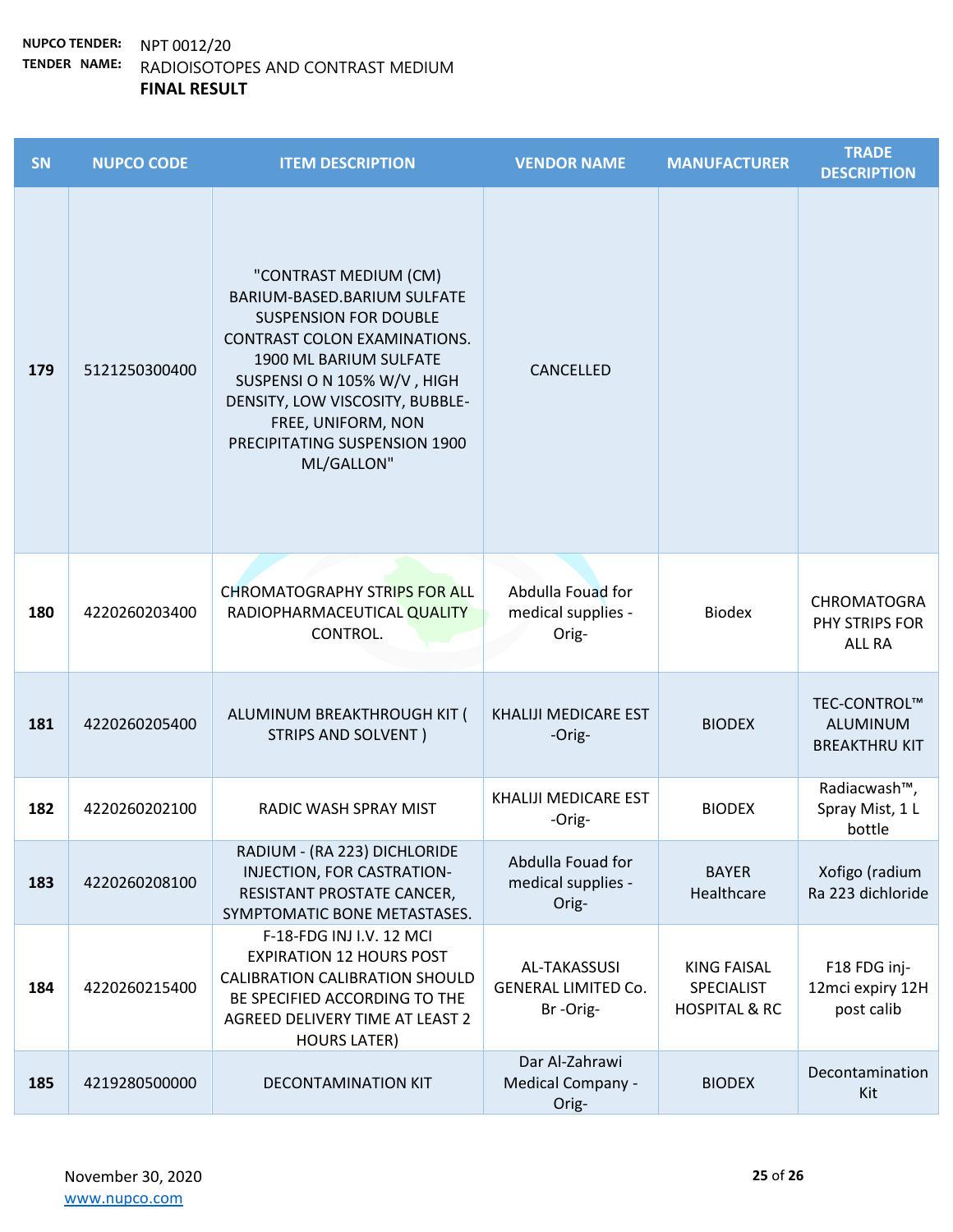| SN  | <b>NUPCO CODE</b> | <b>ITEM DESCRIPTION</b>                                                                                                                                                                                                                                                               | <b>VENDOR NAME</b>                                     | <b>MANUFACTURER</b>                                          | <b>TRADE</b><br><b>DESCRIPTION</b>                    |
|-----|-------------------|---------------------------------------------------------------------------------------------------------------------------------------------------------------------------------------------------------------------------------------------------------------------------------------|--------------------------------------------------------|--------------------------------------------------------------|-------------------------------------------------------|
| 179 | 5121250300400     | "CONTRAST MEDIUM (CM)<br>BARIUM-BASED.BARIUM SULFATE<br><b>SUSPENSION FOR DOUBLE</b><br>CONTRAST COLON EXAMINATIONS.<br>1900 ML BARIUM SULFATE<br>SUSPENSI O N 105% W/V, HIGH<br>DENSITY, LOW VISCOSITY, BUBBLE-<br>FREE, UNIFORM, NON<br>PRECIPITATING SUSPENSION 1900<br>ML/GALLON" | <b>CANCELLED</b>                                       |                                                              |                                                       |
| 180 | 4220260203400     | <b>CHROMATOGRAPHY STRIPS FOR ALL</b><br>RADIOPHARMACEUTICAL QUALITY<br>CONTROL.                                                                                                                                                                                                       | Abdulla Fouad for<br>medical supplies -<br>Orig-       | <b>Biodex</b>                                                | <b>CHROMATOGRA</b><br>PHY STRIPS FOR<br><b>ALL RA</b> |
| 181 | 4220260205400     | ALUMINUM BREAKTHROUGH KIT (<br>STRIPS AND SOLVENT)                                                                                                                                                                                                                                    | <b>KHALIJI MEDICARE EST</b><br>-Orig-                  | <b>BIODEX</b>                                                | TEC-CONTROL™<br>ALUMINUM<br><b>BREAKTHRU KIT</b>      |
| 182 | 4220260202100     | RADIC WASH SPRAY MIST                                                                                                                                                                                                                                                                 | KHALIJI MEDICARE EST<br>-Orig-                         | <b>BIODEX</b>                                                | Radiacwash™,<br>Spray Mist, 1 L<br>bottle             |
| 183 | 4220260208100     | RADIUM - (RA 223) DICHLORIDE<br>INJECTION, FOR CASTRATION-<br>RESISTANT PROSTATE CANCER,<br>SYMPTOMATIC BONE METASTASES.                                                                                                                                                              | Abdulla Fouad for<br>medical supplies -<br>Orig-       | <b>BAYER</b><br>Healthcare                                   | Xofigo (radium<br>Ra 223 dichloride                   |
| 184 | 4220260215400     | F-18-FDG INJ I.V. 12 MCI<br><b>EXPIRATION 12 HOURS POST</b><br><b>CALIBRATION CALIBRATION SHOULD</b><br>BE SPECIFIED ACCORDING TO THE<br>AGREED DELIVERY TIME AT LEAST 2<br><b>HOURS LATER)</b>                                                                                       | AL-TAKASSUSI<br><b>GENERAL LIMITED Co.</b><br>Br-Orig- | <b>KING FAISAL</b><br>SPECIALIST<br><b>HOSPITAL &amp; RC</b> | F18 FDG inj-<br>12mci expiry 12H<br>post calib        |
| 185 | 4219280500000     | DECONTAMINATION KIT                                                                                                                                                                                                                                                                   | Dar Al-Zahrawi<br>Medical Company -<br>Orig-           | <b>BIODEX</b>                                                | Decontamination<br>Kit                                |